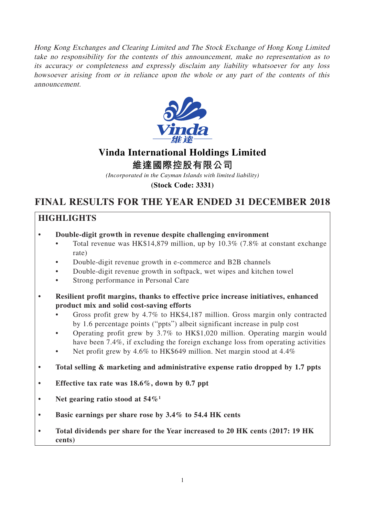Hong Kong Exchanges and Clearing Limited and The Stock Exchange of Hong Kong Limited take no responsibility for the contents of this announcement, make no representation as to its accuracy or completeness and expressly disclaim any liability whatsoever for any loss howsoever arising from or in reliance upon the whole or any part of the contents of this announcement.



# **Vinda International Holdings Limited**

**維達國際控股有限公司**

*(Incorporated in the Cayman Islands with limited liability)*

**(Stock Code: 3331)**

# **FINAL RESULTS FOR THE YEAR ENDED 31 DECEMBER 2018**

# **HIGHLIGHTS**

- **Double-digit growth in revenue despite challenging environment**
	- Total revenue was HK\$14,879 million, up by 10.3% (7.8% at constant exchange rate)
	- Double-digit revenue growth in e-commerce and B2B channels
	- Double-digit revenue growth in softpack, wet wipes and kitchen towel
	- Strong performance in Personal Care
- **Resilient profit margins, thanks to effective price increase initiatives, enhanced product mix and solid cost-saving efforts**
	- Gross profit grew by 4.7% to HK\$4,187 million. Gross margin only contracted by 1.6 percentage points ("ppts") albeit significant increase in pulp cost
	- Operating profit grew by 3.7% to HK\$1,020 million. Operating margin would have been 7.4%, if excluding the foreign exchange loss from operating activities
	- Net profit grew by 4.6% to HK\$649 million. Net margin stood at 4.4%
- **Total selling & marketing and administrative expense ratio dropped by 1.7 ppts**
- **Effective tax rate was 18.6%, down by 0.7 ppt**
- **Net gearing ratio stood at 54%1**
- **Basic earnings per share rose by 3.4% to 54.4 HK cents**
- **Total dividends per share for the Year increased to 20 HK cents (2017: 19 HK cents)**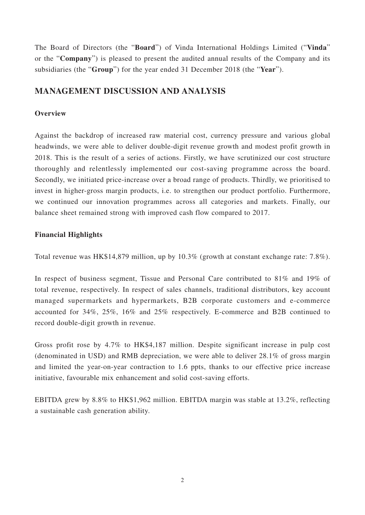The Board of Directors (the "**Board**") of Vinda International Holdings Limited ("**Vinda**" or the "**Company**") is pleased to present the audited annual results of the Company and its subsidiaries (the "**Group**") for the year ended 31 December 2018 (the "**Year**").

# **MANAGEMENT DISCUSSION AND ANALYSIS**

# **Overview**

Against the backdrop of increased raw material cost, currency pressure and various global headwinds, we were able to deliver double-digit revenue growth and modest profit growth in 2018. This is the result of a series of actions. Firstly, we have scrutinized our cost structure thoroughly and relentlessly implemented our cost-saving programme across the board. Secondly, we initiated price-increase over a broad range of products. Thirdly, we prioritised to invest in higher-gross margin products, i.e. to strengthen our product portfolio. Furthermore, we continued our innovation programmes across all categories and markets. Finally, our balance sheet remained strong with improved cash flow compared to 2017.

# **Financial Highlights**

Total revenue was HK\$14,879 million, up by 10.3% (growth at constant exchange rate: 7.8%).

In respect of business segment, Tissue and Personal Care contributed to 81% and 19% of total revenue, respectively. In respect of sales channels, traditional distributors, key account managed supermarkets and hypermarkets, B2B corporate customers and e-commerce accounted for 34%, 25%, 16% and 25% respectively. E-commerce and B2B continued to record double-digit growth in revenue.

Gross profit rose by 4.7% to HK\$4,187 million. Despite significant increase in pulp cost (denominated in USD) and RMB depreciation, we were able to deliver 28.1% of gross margin and limited the year-on-year contraction to 1.6 ppts, thanks to our effective price increase initiative, favourable mix enhancement and solid cost-saving efforts.

EBITDA grew by 8.8% to HK\$1,962 million. EBITDA margin was stable at 13.2%, reflecting a sustainable cash generation ability.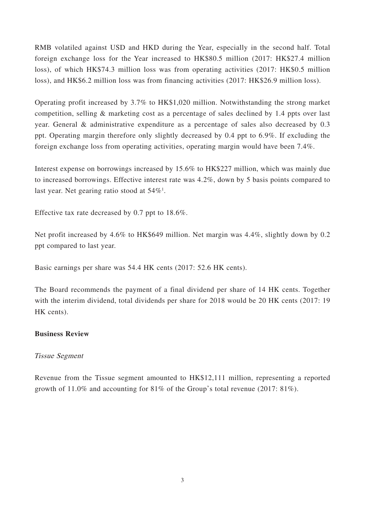RMB volatiled against USD and HKD during the Year, especially in the second half. Total foreign exchange loss for the Year increased to HK\$80.5 million (2017: HK\$27.4 million loss), of which HK\$74.3 million loss was from operating activities (2017: HK\$0.5 million loss), and HK\$6.2 million loss was from financing activities (2017: HK\$26.9 million loss).

Operating profit increased by 3.7% to HK\$1,020 million. Notwithstanding the strong market competition, selling & marketing cost as a percentage of sales declined by 1.4 ppts over last year. General & administrative expenditure as a percentage of sales also decreased by 0.3 ppt. Operating margin therefore only slightly decreased by 0.4 ppt to 6.9%. If excluding the foreign exchange loss from operating activities, operating margin would have been 7.4%.

Interest expense on borrowings increased by 15.6% to HK\$227 million, which was mainly due to increased borrowings. Effective interest rate was 4.2%, down by 5 basis points compared to last year. Net gearing ratio stood at  $54\%$ <sup>1</sup>.

Effective tax rate decreased by 0.7 ppt to 18.6%.

Net profit increased by 4.6% to HK\$649 million. Net margin was 4.4%, slightly down by 0.2 ppt compared to last year.

Basic earnings per share was 54.4 HK cents (2017: 52.6 HK cents).

The Board recommends the payment of a final dividend per share of 14 HK cents. Together with the interim dividend, total dividends per share for 2018 would be 20 HK cents (2017: 19) HK cents).

# **Business Review**

# Tissue Segment

Revenue from the Tissue segment amounted to HK\$12,111 million, representing a reported growth of 11.0% and accounting for 81% of the Group's total revenue (2017: 81%).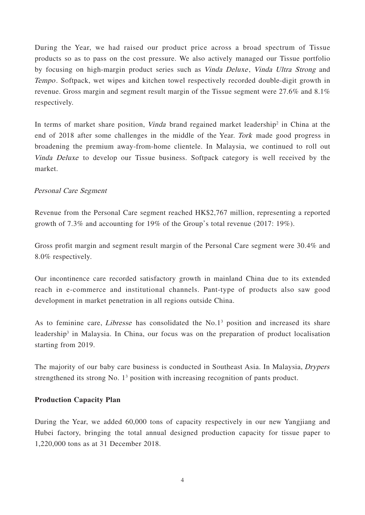During the Year, we had raised our product price across a broad spectrum of Tissue products so as to pass on the cost pressure. We also actively managed our Tissue portfolio by focusing on high-margin product series such as *Vinda Deluxe*, *Vinda Ultra Strong* and Tempo. Softpack, wet wipes and kitchen towel respectively recorded double-digit growth in revenue. Gross margin and segment result margin of the Tissue segment were 27.6% and 8.1% respectively.

In terms of market share position, *Vinda* brand regained market leadership<sup>2</sup> in China at the end of 2018 after some challenges in the middle of the Year. Tork made good progress in broadening the premium away-from-home clientele. In Malaysia, we continued to roll out Vinda Deluxe to develop our Tissue business. Softpack category is well received by the market.

# Personal Care Segment

Revenue from the Personal Care segment reached HK\$2,767 million, representing a reported growth of 7.3% and accounting for 19% of the Group's total revenue (2017: 19%).

Gross profit margin and segment result margin of the Personal Care segment were 30.4% and 8.0% respectively.

Our incontinence care recorded satisfactory growth in mainland China due to its extended reach in e-commerce and institutional channels. Pant-type of products also saw good development in market penetration in all regions outside China.

As to feminine care, *Libresse* has consolidated the  $No.1<sup>3</sup>$  position and increased its share leadership<sup>3</sup> in Malaysia. In China, our focus was on the preparation of product localisation starting from 2019.

The majority of our baby care business is conducted in Southeast Asia. In Malaysia, Drypers strengthened its strong No. 1<sup>3</sup> position with increasing recognition of pants product.

## **Production Capacity Plan**

During the Year, we added 60,000 tons of capacity respectively in our new Yangjiang and Hubei factory, bringing the total annual designed production capacity for tissue paper to 1,220,000 tons as at 31 December 2018.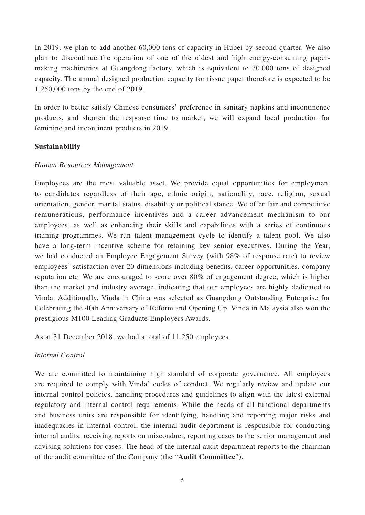In 2019, we plan to add another 60,000 tons of capacity in Hubei by second quarter. We also plan to discontinue the operation of one of the oldest and high energy-consuming papermaking machineries at Guangdong factory, which is equivalent to 30,000 tons of designed capacity. The annual designed production capacity for tissue paper therefore is expected to be 1,250,000 tons by the end of 2019.

In order to better satisfy Chinese consumers' preference in sanitary napkins and incontinence products, and shorten the response time to market, we will expand local production for feminine and incontinent products in 2019.

# **Sustainability**

## Human Resources Management

Employees are the most valuable asset. We provide equal opportunities for employment to candidates regardless of their age, ethnic origin, nationality, race, religion, sexual orientation, gender, marital status, disability or political stance. We offer fair and competitive remunerations, performance incentives and a career advancement mechanism to our employees, as well as enhancing their skills and capabilities with a series of continuous training programmes. We run talent management cycle to identify a talent pool. We also have a long-term incentive scheme for retaining key senior executives. During the Year, we had conducted an Employee Engagement Survey (with 98% of response rate) to review employees' satisfaction over 20 dimensions including benefits, career opportunities, company reputation etc. We are encouraged to score over 80% of engagement degree, which is higher than the market and industry average, indicating that our employees are highly dedicated to Vinda. Additionally, Vinda in China was selected as Guangdong Outstanding Enterprise for Celebrating the 40th Anniversary of Reform and Opening Up. Vinda in Malaysia also won the prestigious M100 Leading Graduate Employers Awards.

As at 31 December 2018, we had a total of 11,250 employees.

# Internal Control

We are committed to maintaining high standard of corporate governance. All employees are required to comply with Vinda' codes of conduct. We regularly review and update our internal control policies, handling procedures and guidelines to align with the latest external regulatory and internal control requirements. While the heads of all functional departments and business units are responsible for identifying, handling and reporting major risks and inadequacies in internal control, the internal audit department is responsible for conducting internal audits, receiving reports on misconduct, reporting cases to the senior management and advising solutions for cases. The head of the internal audit department reports to the chairman of the audit committee of the Company (the "**Audit Committee**").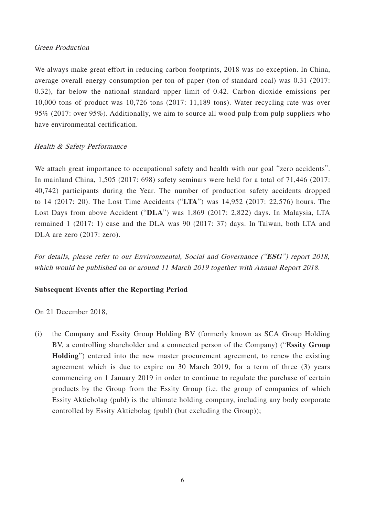## Green Production

We always make great effort in reducing carbon footprints, 2018 was no exception. In China, average overall energy consumption per ton of paper (ton of standard coal) was 0.31 (2017: 0.32), far below the national standard upper limit of 0.42. Carbon dioxide emissions per 10,000 tons of product was 10,726 tons (2017: 11,189 tons). Water recycling rate was over 95% (2017: over 95%). Additionally, we aim to source all wood pulp from pulp suppliers who have environmental certification.

# Health & Safety Performance

We attach great importance to occupational safety and health with our goal "zero accidents". In mainland China, 1,505 (2017: 698) safety seminars were held for a total of 71,446 (2017: 40,742) participants during the Year. The number of production safety accidents dropped to 14 (2017: 20). The Lost Time Accidents ("**LTA**") was 14,952 (2017: 22,576) hours. The Lost Days from above Accident ("**DLA**") was 1,869 (2017: 2,822) days. In Malaysia, LTA remained 1 (2017: 1) case and the DLA was 90 (2017: 37) days. In Taiwan, both LTA and DLA are zero (2017: zero).

For details, please refer to our Environmental, Social and Governance ("**ESG**") report 2018, which would be published on or around 11 March 2019 together with Annual Report 2018.

# **Subsequent Events after the Reporting Period**

On 21 December 2018,

(i) the Company and Essity Group Holding BV (formerly known as SCA Group Holding BV, a controlling shareholder and a connected person of the Company) ("**Essity Group Holding**") entered into the new master procurement agreement, to renew the existing agreement which is due to expire on 30 March 2019, for a term of three (3) years commencing on 1 January 2019 in order to continue to regulate the purchase of certain products by the Group from the Essity Group (i.e. the group of companies of which Essity Aktiebolag (publ) is the ultimate holding company, including any body corporate controlled by Essity Aktiebolag (publ) (but excluding the Group));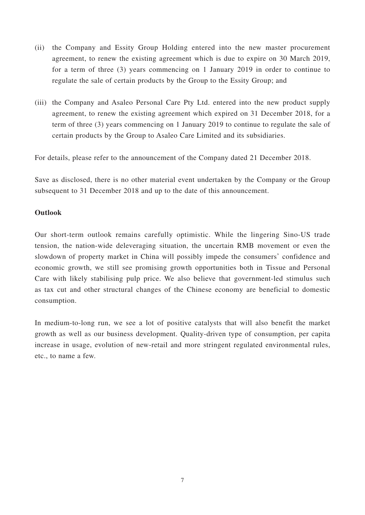- (ii) the Company and Essity Group Holding entered into the new master procurement agreement, to renew the existing agreement which is due to expire on 30 March 2019, for a term of three (3) years commencing on 1 January 2019 in order to continue to regulate the sale of certain products by the Group to the Essity Group; and
- (iii) the Company and Asaleo Personal Care Pty Ltd. entered into the new product supply agreement, to renew the existing agreement which expired on 31 December 2018, for a term of three (3) years commencing on 1 January 2019 to continue to regulate the sale of certain products by the Group to Asaleo Care Limited and its subsidiaries.

For details, please refer to the announcement of the Company dated 21 December 2018.

Save as disclosed, there is no other material event undertaken by the Company or the Group subsequent to 31 December 2018 and up to the date of this announcement.

## **Outlook**

Our short-term outlook remains carefully optimistic. While the lingering Sino-US trade tension, the nation-wide deleveraging situation, the uncertain RMB movement or even the slowdown of property market in China will possibly impede the consumers' confidence and economic growth, we still see promising growth opportunities both in Tissue and Personal Care with likely stabilising pulp price. We also believe that government-led stimulus such as tax cut and other structural changes of the Chinese economy are beneficial to domestic consumption.

In medium-to-long run, we see a lot of positive catalysts that will also benefit the market growth as well as our business development. Quality-driven type of consumption, per capita increase in usage, evolution of new-retail and more stringent regulated environmental rules, etc., to name a few.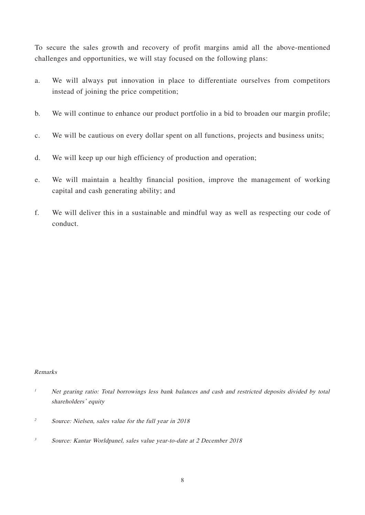To secure the sales growth and recovery of profit margins amid all the above-mentioned challenges and opportunities, we will stay focused on the following plans:

- a. We will always put innovation in place to differentiate ourselves from competitors instead of joining the price competition;
- b. We will continue to enhance our product portfolio in a bid to broaden our margin profile;
- c. We will be cautious on every dollar spent on all functions, projects and business units;
- d. We will keep up our high efficiency of production and operation;
- e. We will maintain a healthy financial position, improve the management of working capital and cash generating ability; and
- f. We will deliver this in a sustainable and mindful way as well as respecting our code of conduct.

#### Remarks

- <sup>1</sup> Net gearing ratio: Total borrowings less bank balances and cash and restricted deposits divided by total shareholders' equity
- <sup>2</sup> Source: Nielsen, sales value for the full year in 2018
- 3 Source: Kantar Worldpanel, sales value year-to-date at 2 December 2018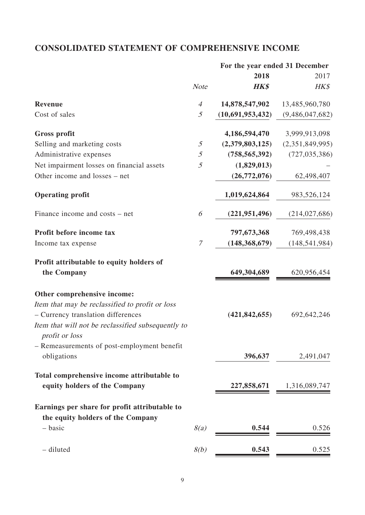# **CONSOLIDATED STATEMENT OF COMPREHENSIVE INCOME**

|                                                    |               | For the year ended 31 December |                 |
|----------------------------------------------------|---------------|--------------------------------|-----------------|
|                                                    |               | 2018                           | 2017            |
|                                                    | <b>Note</b>   | <b>HK\$</b>                    | HK\$            |
| Revenue                                            | 4             | 14,878,547,902                 | 13,485,960,780  |
| Cost of sales                                      | 5             | (10,691,953,432)               | (9,486,047,682) |
| <b>Gross profit</b>                                |               | 4,186,594,470                  | 3,999,913,098   |
| Selling and marketing costs                        | 5             | (2,379,803,125)                | (2,351,849,995) |
| Administrative expenses                            | 5             | (758, 565, 392)                | (727, 035, 386) |
| Net impairment losses on financial assets          | 5             | (1,829,013)                    |                 |
| Other income and losses – net                      |               | (26,772,076)                   | 62,498,407      |
| <b>Operating profit</b>                            |               | 1,019,624,864                  | 983,526,124     |
| Finance income and costs – net                     | 6             | (221, 951, 496)                | (214, 027, 686) |
| Profit before income tax                           |               | 797,673,368                    | 769,498,438     |
| Income tax expense                                 | $\mathcal{I}$ | (148, 368, 679)                | (148, 541, 984) |
| Profit attributable to equity holders of           |               |                                |                 |
| the Company                                        |               | 649,304,689                    | 620,956,454     |
| Other comprehensive income:                        |               |                                |                 |
| Item that may be reclassified to profit or loss    |               |                                |                 |
| - Currency translation differences                 |               | (421, 842, 655)                | 692,642,246     |
| Item that will not be reclassified subsequently to |               |                                |                 |
| <i>profit or loss</i>                              |               |                                |                 |
| - Remeasurements of post-employment benefit        |               |                                |                 |
| obligations                                        |               | 396,637                        | 2,491,047       |
| Total comprehensive income attributable to         |               |                                |                 |
| equity holders of the Company                      |               | 227,858,671                    | 1,316,089,747   |
| Earnings per share for profit attributable to      |               |                                |                 |
| the equity holders of the Company                  |               |                                |                 |
| - basic                                            | 8(a)          | 0.544                          | 0.526           |
|                                                    |               |                                |                 |
| - diluted                                          | 8(b)          | 0.543                          | 0.525           |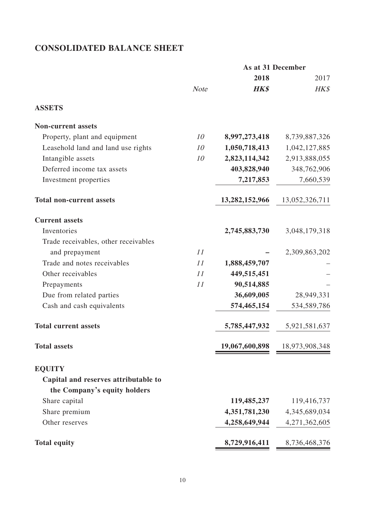# **CONSOLIDATED BALANCE SHEET**

|                                      |             |                | As at 31 December |
|--------------------------------------|-------------|----------------|-------------------|
|                                      |             | 2018           | 2017              |
|                                      | <b>Note</b> | <b>HK\$</b>    | HK\$              |
| <b>ASSETS</b>                        |             |                |                   |
| <b>Non-current assets</b>            |             |                |                   |
| Property, plant and equipment        | 10          | 8,997,273,418  | 8,739,887,326     |
| Leasehold land and land use rights   | 10          | 1,050,718,413  | 1,042,127,885     |
| Intangible assets                    | 10          | 2,823,114,342  | 2,913,888,055     |
| Deferred income tax assets           |             | 403,828,940    | 348,762,906       |
| Investment properties                |             | 7,217,853      | 7,660,539         |
| <b>Total non-current assets</b>      |             | 13,282,152,966 | 13,052,326,711    |
| <b>Current assets</b>                |             |                |                   |
| Inventories                          |             | 2,745,883,730  | 3,048,179,318     |
| Trade receivables, other receivables |             |                |                   |
| and prepayment                       | 11          |                | 2,309,863,202     |
| Trade and notes receivables          | 11          | 1,888,459,707  |                   |
| Other receivables                    | 11          | 449,515,451    |                   |
| Prepayments                          | 11          | 90,514,885     |                   |
| Due from related parties             |             | 36,609,005     | 28,949,331        |
| Cash and cash equivalents            |             | 574,465,154    | 534,589,786       |
| <b>Total current assets</b>          |             | 5,785,447,932  | 5,921,581,637     |
| <b>Total assets</b>                  |             | 19,067,600,898 | 18,973,908,348    |
| <b>EQUITY</b>                        |             |                |                   |
| Capital and reserves attributable to |             |                |                   |
| the Company's equity holders         |             |                |                   |
| Share capital                        |             | 119,485,237    | 119,416,737       |
| Share premium                        |             | 4,351,781,230  | 4,345,689,034     |
| Other reserves                       |             | 4,258,649,944  | 4,271,362,605     |
| <b>Total equity</b>                  |             | 8,729,916,411  | 8,736,468,376     |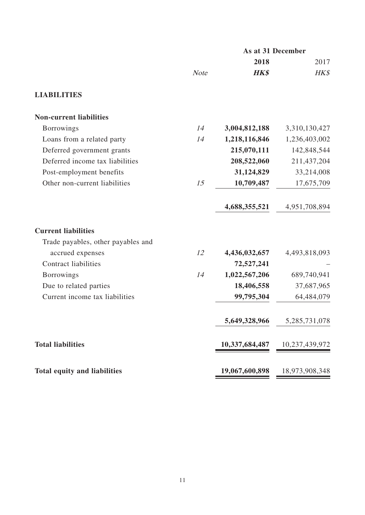|                                     |             | As at 31 December |                |  |
|-------------------------------------|-------------|-------------------|----------------|--|
|                                     |             | 2018              | 2017           |  |
|                                     | <b>Note</b> | <b>HK\$</b>       | HK\$           |  |
| <b>LIABILITIES</b>                  |             |                   |                |  |
| <b>Non-current liabilities</b>      |             |                   |                |  |
| <b>Borrowings</b>                   | 14          | 3,004,812,188     | 3,310,130,427  |  |
| Loans from a related party          | 14          | 1,218,116,846     | 1,236,403,002  |  |
| Deferred government grants          |             | 215,070,111       | 142,848,544    |  |
| Deferred income tax liabilities     |             | 208,522,060       | 211,437,204    |  |
| Post-employment benefits            |             | 31,124,829        | 33,214,008     |  |
| Other non-current liabilities       | 15          | 10,709,487        | 17,675,709     |  |
|                                     |             | 4,688,355,521     | 4,951,708,894  |  |
| <b>Current liabilities</b>          |             |                   |                |  |
| Trade payables, other payables and  |             |                   |                |  |
| accrued expenses                    | 12          | 4,436,032,657     | 4,493,818,093  |  |
| <b>Contract liabilities</b>         |             | 72,527,241        |                |  |
| <b>Borrowings</b>                   | 14          | 1,022,567,206     | 689,740,941    |  |
| Due to related parties              |             | 18,406,558        | 37,687,965     |  |
| Current income tax liabilities      |             | 99,795,304        | 64,484,079     |  |
|                                     |             | 5,649,328,966     | 5,285,731,078  |  |
| <b>Total liabilities</b>            |             | 10,337,684,487    | 10,237,439,972 |  |
| <b>Total equity and liabilities</b> |             | 19,067,600,898    | 18,973,908,348 |  |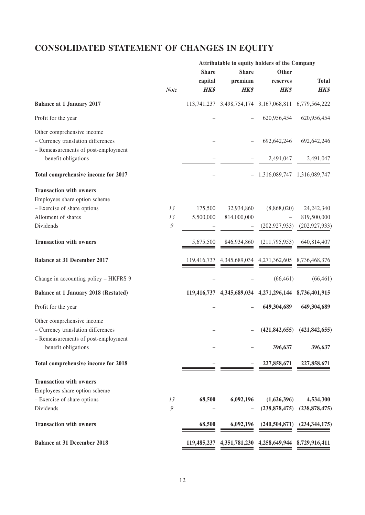# **CONSOLIDATED STATEMENT OF CHANGES IN EQUITY**

|                                             |                  |              |              | Attributable to equity holders of the Company         |                                     |
|---------------------------------------------|------------------|--------------|--------------|-------------------------------------------------------|-------------------------------------|
|                                             |                  | <b>Share</b> | <b>Share</b> | Other                                                 |                                     |
|                                             |                  | capital      | premium      | reserves                                              | <b>Total</b>                        |
|                                             | Note             | HK\$         | <b>HK\$</b>  | <b>HK\$</b>                                           | <b>HK\$</b>                         |
| <b>Balance at 1 January 2017</b>            |                  |              |              | 113,741,237 3,498,754,174 3,167,068,811 6,779,564,222 |                                     |
| Profit for the year                         |                  |              |              | 620,956,454                                           | 620,956,454                         |
| Other comprehensive income                  |                  |              |              |                                                       |                                     |
| - Currency translation differences          |                  |              |              | 692,642,246                                           | 692,642,246                         |
| - Remeasurements of post-employment         |                  |              |              |                                                       |                                     |
|                                             |                  |              |              |                                                       |                                     |
| benefit obligations                         |                  |              |              | 2,491,047                                             | 2,491,047                           |
| Total comprehensive income for 2017         |                  |              |              | 1,316,089,747 1,316,089,747                           |                                     |
| <b>Transaction with owners</b>              |                  |              |              |                                                       |                                     |
| Employees share option scheme               |                  |              |              |                                                       |                                     |
| - Exercise of share options                 | 13               | 175,500      | 32,934,860   | (8,868,020)                                           | 24, 242, 340                        |
| Allotment of shares                         | 13               | 5,500,000    | 814,000,000  |                                                       | 819,500,000                         |
| Dividends                                   | $\boldsymbol{g}$ |              |              | (202, 927, 933)                                       | (202, 927, 933)                     |
|                                             |                  |              |              |                                                       |                                     |
| <b>Transaction with owners</b>              |                  | 5,675,500    | 846,934,860  | (211,795,953)                                         | 640,814,407                         |
| <b>Balance at 31 December 2017</b>          |                  | 119,416,737  |              | 4,345,689,034 4,271,362,605                           | 8,736,468,376                       |
| Change in accounting policy - HKFRS 9       |                  |              |              | (66, 461)                                             | (66, 461)                           |
| <b>Balance at 1 January 2018 (Restated)</b> |                  |              |              | 119,416,737 4,345,689,034 4,271,296,144 8,736,401,915 |                                     |
| Profit for the year                         |                  |              |              | 649,304,689                                           | 649,304,689                         |
| Other comprehensive income                  |                  |              |              |                                                       |                                     |
| - Currency translation differences          |                  |              |              |                                                       | $(421, 842, 655)$ $(421, 842, 655)$ |
| - Remeasurements of post-employment         |                  |              |              |                                                       |                                     |
| benefit obligations                         |                  |              |              | 396,637                                               | 396,637                             |
|                                             |                  |              |              |                                                       |                                     |
| Total comprehensive income for 2018         |                  |              |              | 227,858,671                                           | 227,858,671                         |
| <b>Transaction with owners</b>              |                  |              |              |                                                       |                                     |
|                                             |                  |              |              |                                                       |                                     |
| Employees share option scheme               |                  |              |              |                                                       |                                     |
| - Exercise of share options                 | 13               | 68,500       | 6,092,196    | (1,626,396)                                           | 4,534,300                           |
| Dividends                                   | 9                |              |              | (238, 878, 475)                                       | (238, 878, 475)                     |
| <b>Transaction with owners</b>              |                  | 68,500       | 6,092,196    | (240, 504, 871)                                       | (234, 344, 175)                     |
| <b>Balance at 31 December 2018</b>          |                  |              |              | 119,485,237 4,351,781,230 4,258,649,944 8,729,916,411 |                                     |
|                                             |                  |              |              |                                                       |                                     |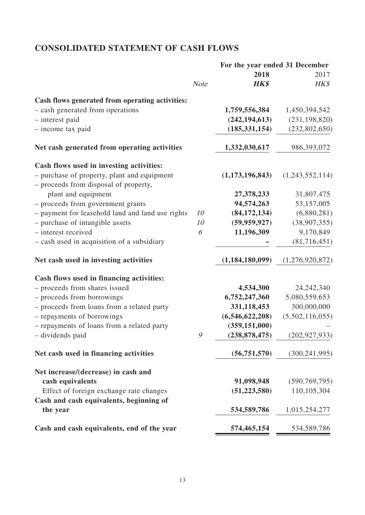# **CONSOLIDATED STATEMENT OF CASH FLOWS**

|                                                                                      |             | For the year ended 31 December |                 |
|--------------------------------------------------------------------------------------|-------------|--------------------------------|-----------------|
|                                                                                      |             | 2018                           | 2017            |
|                                                                                      | <b>Note</b> | <b>HK\$</b>                    | HK\$            |
| Cash flows generated from operating activities:                                      |             |                                |                 |
| - cash generated from operations                                                     |             | 1,759,556,384                  | 1,450,394,542   |
| - interest paid                                                                      |             | (242, 194, 613)                | (231, 198, 820) |
| - income tax paid                                                                    |             | (185, 331, 154)                | (232, 802, 650) |
| Net cash generated from operating activities                                         |             | 1,332,030,617                  | 986, 393, 072   |
| Cash flows used in investing activities:                                             |             |                                |                 |
| - purchase of property, plant and equipment<br>- proceeds from disposal of property, |             | (1,173,196,843)                | (1,243,552,114) |
| plant and equipment                                                                  |             | 27,378,233                     | 31,807,475      |
| - proceeds from government grants                                                    |             | 94,574,263                     | 53,157,005      |
| - payment for leasehold land and land use rights                                     | 10          | (84, 172, 134)                 | (6,880,281)     |
| - purchase of intangible assets                                                      | 10          | (59, 959, 927)                 | (38,907,355)    |
| - interest received                                                                  | 6           | 11,196,309                     | 9,170,849       |
| - cash used in acquisition of a subsidiary                                           |             |                                | (81,716,451)    |
| Net cash used in investing activities                                                |             | (1,184,180,099)                | (1,276,920,872) |
| Cash flows used in financing activities:                                             |             |                                |                 |
| - proceeds from shares issued                                                        |             | 4,534,300                      | 24, 242, 340    |
| - proceeds from borrowings                                                           |             | 6,752,247,360                  | 5,080,559,653   |
| - proceeds from loans from a related party                                           |             | 331,118,453                    | 300,000,000     |
| - repayments of borrowings                                                           |             | (6,546,622,208)                | (5,502,116,055) |
| - repayments of loans from a related party                                           |             | (359, 151, 000)                |                 |
| - dividends paid                                                                     | 9           | (238, 878, 475)                | (202, 927, 933) |
| Net cash used in financing activities                                                |             | (56, 751, 570)                 | (300, 241, 995) |
| Net increase/(decrease) in cash and                                                  |             |                                |                 |
| cash equivalents                                                                     |             | 91,098,948                     | (590, 769, 795) |
| Effect of foreign exchange rate changes                                              |             | (51, 223, 580)                 | 110,105,304     |
| Cash and cash equivalents, beginning of<br>the year                                  |             | 534,589,786                    | 1,015,254,277   |
| Cash and cash equivalents, end of the year                                           |             | 574,465,154                    | 534,589,786     |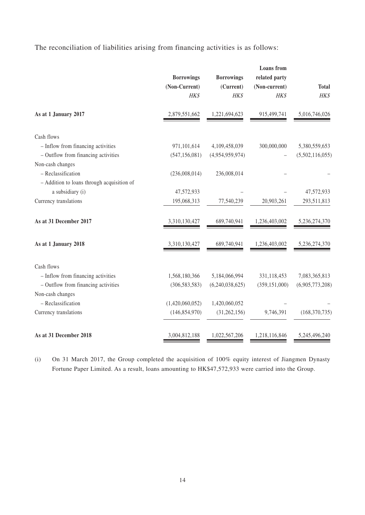The reconciliation of liabilities arising from financing activities is as follows:

|                                            | <b>Borrowings</b><br>(Non-Current)<br>HK\$ | <b>Borrowings</b><br>(Current)<br>HK\$ | <b>Loans</b> from<br>related party<br>(Non-current)<br>HK\$ | <b>Total</b><br>HK\$ |
|--------------------------------------------|--------------------------------------------|----------------------------------------|-------------------------------------------------------------|----------------------|
| As at 1 January 2017                       | 2,879,551,662                              | 1,221,694,623                          | 915,499,741                                                 | 5,016,746,026        |
| Cash flows                                 |                                            |                                        |                                                             |                      |
| - Inflow from financing activities         | 971,101,614                                | 4,109,458,039                          | 300,000,000                                                 | 5,380,559,653        |
| - Outflow from financing activities        | (547, 156, 081)                            | (4,954,959,974)                        |                                                             | (5,502,116,055)      |
| Non-cash changes                           |                                            |                                        |                                                             |                      |
| - Reclassification                         | (236,008,014)                              | 236,008,014                            |                                                             |                      |
| - Addition to loans through acquisition of |                                            |                                        |                                                             |                      |
| a subsidiary (i)                           | 47,572,933                                 |                                        |                                                             | 47,572,933           |
| Currency translations                      | 195,068,313                                | 77,540,239                             | 20,903,261                                                  | 293,511,813          |
| As at 31 December 2017                     | 3,310,130,427                              | 689,740,941                            | 1,236,403,002                                               | 5,236,274,370        |
| As at 1 January 2018                       | 3,310,130,427                              | 689,740,941                            | 1,236,403,002                                               | 5,236,274,370        |
| Cash flows                                 |                                            |                                        |                                                             |                      |
| - Inflow from financing activities         | 1,568,180,366                              | 5,184,066,994                          | 331,118,453                                                 | 7,083,365,813        |
| - Outflow from financing activities        | (306, 583, 583)                            | (6,240,038,625)                        | (359, 151, 000)                                             | (6,905,773,208)      |
| Non-cash changes                           |                                            |                                        |                                                             |                      |
| - Reclassification                         | (1,420,060,052)                            | 1,420,060,052                          |                                                             |                      |
| Currency translations                      | (146, 854, 970)                            | (31, 262, 156)                         | 9,746,391                                                   | (168, 370, 735)      |
| As at 31 December 2018                     | 3,004,812,188                              | 1,022,567,206                          | 1,218,116,846                                               | 5,245,496,240        |

(i) On 31 March 2017, the Group completed the acquisition of 100% equity interest of Jiangmen Dynasty Fortune Paper Limited. As a result, loans amounting to HK\$47,572,933 were carried into the Group.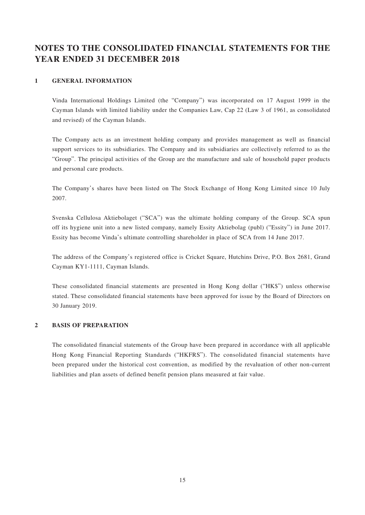# **NOTES TO THE CONSOLIDATED FINANCIAL STATEMENTS FOR THE YEAR ENDED 31 DECEMBER 2018**

#### **1 GENERAL INFORMATION**

Vinda International Holdings Limited (the "Company") was incorporated on 17 August 1999 in the Cayman Islands with limited liability under the Companies Law, Cap 22 (Law 3 of 1961, as consolidated and revised) of the Cayman Islands.

The Company acts as an investment holding company and provides management as well as financial support services to its subsidiaries. The Company and its subsidiaries are collectively referred to as the "Group". The principal activities of the Group are the manufacture and sale of household paper products and personal care products.

The Company's shares have been listed on The Stock Exchange of Hong Kong Limited since 10 July 2007.

Svenska Cellulosa Aktiebolaget ("SCA") was the ultimate holding company of the Group. SCA spun off its hygiene unit into a new listed company, namely Essity Aktiebolag (publ) ("Essity") in June 2017. Essity has become Vinda's ultimate controlling shareholder in place of SCA from 14 June 2017.

The address of the Company's registered office is Cricket Square, Hutchins Drive, P.O. Box 2681, Grand Cayman KY1-1111, Cayman Islands.

These consolidated financial statements are presented in Hong Kong dollar ("HK\$") unless otherwise stated. These consolidated financial statements have been approved for issue by the Board of Directors on 30 January 2019.

#### **2 BASIS OF PREPARATION**

The consolidated financial statements of the Group have been prepared in accordance with all applicable Hong Kong Financial Reporting Standards ("HKFRS"). The consolidated financial statements have been prepared under the historical cost convention, as modified by the revaluation of other non-current liabilities and plan assets of defined benefit pension plans measured at fair value.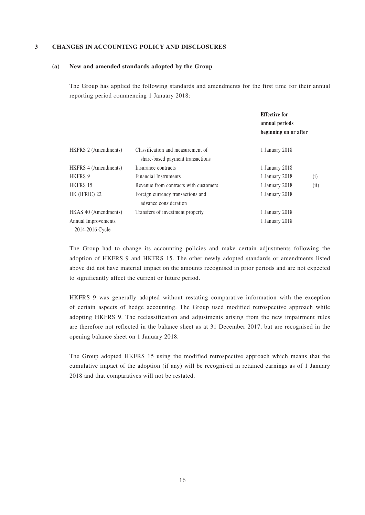#### **3 CHANGES IN ACCOUNTING POLICY AND DISCLOSURES**

#### **(a) New and amended standards adopted by the Group**

The Group has applied the following standards and amendments for the first time for their annual reporting period commencing 1 January 2018:

|                                        |                                                                       | <b>Effective for</b><br>annual periods<br>beginning on or after |      |
|----------------------------------------|-----------------------------------------------------------------------|-----------------------------------------------------------------|------|
| HKFRS 2 (Amendments)                   | Classification and measurement of<br>share-based payment transactions | 1 January 2018                                                  |      |
| HKFRS 4 (Amendments)                   | Insurance contracts                                                   | 1 January 2018                                                  |      |
| <b>HKFRS 9</b>                         | <b>Financial Instruments</b>                                          | 1 January 2018                                                  | (i)  |
| HKFRS 15                               | Revenue from contracts with customers                                 | 1 January 2018                                                  | (ii) |
| HK (IFRIC) 22                          | Foreign currency transactions and<br>advance consideration            | 1 January 2018                                                  |      |
| HKAS 40 (Amendments)                   | Transfers of investment property                                      | 1 January 2018                                                  |      |
| Annual Improvements<br>2014-2016 Cycle |                                                                       | 1 January 2018                                                  |      |

The Group had to change its accounting policies and make certain adjustments following the adoption of HKFRS 9 and HKFRS 15. The other newly adopted standards or amendments listed above did not have material impact on the amounts recognised in prior periods and are not expected to significantly affect the current or future period.

HKFRS 9 was generally adopted without restating comparative information with the exception of certain aspects of hedge accounting. The Group used modified retrospective approach while adopting HKFRS 9. The reclassification and adjustments arising from the new impairment rules are therefore not reflected in the balance sheet as at 31 December 2017, but are recognised in the opening balance sheet on 1 January 2018.

The Group adopted HKFRS 15 using the modified retrospective approach which means that the cumulative impact of the adoption (if any) will be recognised in retained earnings as of 1 January 2018 and that comparatives will not be restated.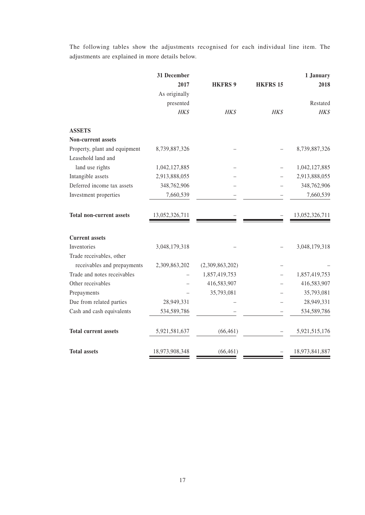The following tables show the adjustments recognised for each individual line item. The adjustments are explained in more details below.

|                                                     | 31 December    |                 |                 | 1 January      |
|-----------------------------------------------------|----------------|-----------------|-----------------|----------------|
|                                                     | 2017           | <b>HKFRS 9</b>  | <b>HKFRS 15</b> | 2018           |
|                                                     | As originally  |                 |                 |                |
|                                                     | presented      |                 |                 | Restated       |
|                                                     | HK\$           | HK\$            | HK\$            | HK\$           |
| <b>ASSETS</b>                                       |                |                 |                 |                |
| <b>Non-current assets</b>                           |                |                 |                 |                |
| Property, plant and equipment<br>Leasehold land and | 8,739,887,326  |                 |                 | 8,739,887,326  |
| land use rights                                     | 1,042,127,885  |                 |                 | 1,042,127,885  |
| Intangible assets                                   | 2,913,888,055  |                 |                 | 2,913,888,055  |
| Deferred income tax assets                          | 348,762,906    |                 |                 | 348,762,906    |
| Investment properties                               | 7,660,539      |                 |                 | 7,660,539      |
| <b>Total non-current assets</b>                     | 13,052,326,711 |                 |                 | 13,052,326,711 |
| <b>Current assets</b>                               |                |                 |                 |                |
| Inventories                                         | 3,048,179,318  |                 |                 | 3,048,179,318  |
| Trade receivables, other                            |                |                 |                 |                |
| receivables and prepayments                         | 2,309,863,202  | (2,309,863,202) |                 |                |
| Trade and notes receivables                         |                | 1,857,419,753   |                 | 1,857,419,753  |
| Other receivables                                   |                | 416,583,907     |                 | 416,583,907    |
| Prepayments                                         |                | 35,793,081      |                 | 35,793,081     |
| Due from related parties                            | 28,949,331     |                 |                 | 28,949,331     |
| Cash and cash equivalents                           | 534,589,786    |                 |                 | 534,589,786    |
| <b>Total current assets</b>                         | 5,921,581,637  | (66, 461)       |                 | 5,921,515,176  |
| <b>Total assets</b>                                 | 18,973,908,348 | (66, 461)       |                 | 18,973,841,887 |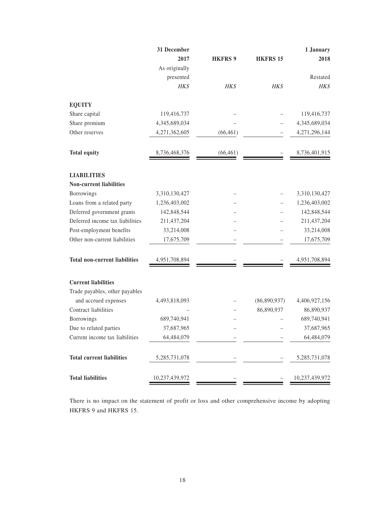|                                      | 31 December    |                |                 | 1 January        |
|--------------------------------------|----------------|----------------|-----------------|------------------|
|                                      | 2017           | <b>HKFRS 9</b> | <b>HKFRS 15</b> | 2018             |
|                                      | As originally  |                |                 |                  |
|                                      | presented      |                |                 | Restated         |
|                                      | HK\$           | HK\$           | HK\$            | HK\$             |
| <b>EQUITY</b>                        |                |                |                 |                  |
| Share capital                        | 119,416,737    |                |                 | 119,416,737      |
| Share premium                        | 4,345,689,034  |                |                 | 4,345,689,034    |
| Other reserves                       | 4,271,362,605  | (66, 461)      |                 | 4,271,296,144    |
| <b>Total equity</b>                  | 8,736,468,376  | (66, 461)      |                 | 8,736,401,915    |
| <b>LIABILITIES</b>                   |                |                |                 |                  |
| <b>Non-current liabilities</b>       |                |                |                 |                  |
| Borrowings                           | 3,310,130,427  |                |                 | 3,310,130,427    |
| Loans from a related party           | 1,236,403,002  |                |                 | 1,236,403,002    |
| Deferred government grants           | 142,848,544    |                |                 | 142,848,544      |
| Deferred income tax liabilities      | 211,437,204    |                |                 | 211,437,204      |
| Post-employment benefits             | 33,214,008     |                |                 | 33,214,008       |
| Other non-current liabilities        | 17,675,709     |                |                 | 17,675,709       |
| <b>Total non-current liabilities</b> | 4,951,708,894  |                |                 | 4,951,708,894    |
| <b>Current liabilities</b>           |                |                |                 |                  |
| Trade payables, other payables       |                |                |                 |                  |
| and accrued expenses                 | 4,493,818,093  |                | (86,890,937)    | 4,406,927,156    |
| Contract liabilities                 |                |                | 86,890,937      | 86,890,937       |
| <b>Borrowings</b>                    | 689,740,941    |                |                 | 689,740,941      |
| Due to related parties               | 37,687,965     |                |                 | 37,687,965       |
| Current income tax liabilities       | 64,484,079     |                |                 | 64,484,079       |
| <b>Total current liabilities</b>     | 5,285,731,078  |                |                 | 5, 285, 731, 078 |
| <b>Total liabilities</b>             | 10,237,439,972 |                |                 | 10,237,439,972   |

There is no impact on the statement of profit or loss and other comprehensive income by adopting HKFRS 9 and HKFRS 15.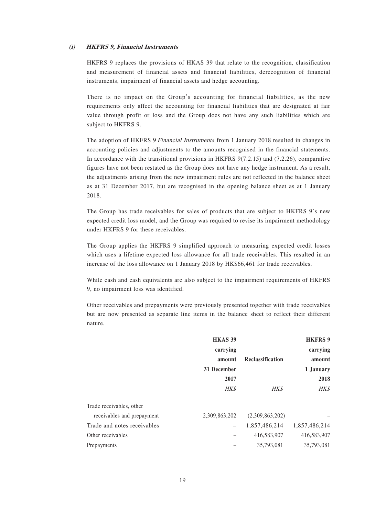#### **(i) HKFRS 9, Financial Instruments**

HKFRS 9 replaces the provisions of HKAS 39 that relate to the recognition, classification and measurement of financial assets and financial liabilities, derecognition of financial instruments, impairment of financial assets and hedge accounting.

There is no impact on the Group's accounting for financial liabilities, as the new requirements only affect the accounting for financial liabilities that are designated at fair value through profit or loss and the Group does not have any such liabilities which are subject to HKFRS 9.

The adoption of HKFRS 9 Financial Instruments from 1 January 2018 resulted in changes in accounting policies and adjustments to the amounts recognised in the financial statements. In accordance with the transitional provisions in HKFRS 9(7.2.15) and (7.2.26), comparative figures have not been restated as the Group does not have any hedge instrument. As a result, the adjustments arising from the new impairment rules are not reflected in the balance sheet as at 31 December 2017, but are recognised in the opening balance sheet as at 1 January 2018.

The Group has trade receivables for sales of products that are subject to HKFRS 9's new expected credit loss model, and the Group was required to revise its impairment methodology under HKFRS 9 for these receivables.

The Group applies the HKFRS 9 simplified approach to measuring expected credit losses which uses a lifetime expected loss allowance for all trade receivables. This resulted in an increase of the loss allowance on 1 January 2018 by HK\$66,461 for trade receivables.

While cash and cash equivalents are also subject to the impairment requirements of HKFRS 9, no impairment loss was identified.

Other receivables and prepayments were previously presented together with trade receivables but are now presented as separate line items in the balance sheet to reflect their different nature.

|                             | <b>HKAS 39</b>                  |                         | <b>HKFRS 9</b> |
|-----------------------------|---------------------------------|-------------------------|----------------|
|                             | carrying                        |                         | carrying       |
|                             | amount                          | <b>Reclassification</b> | amount         |
|                             | 31 December                     |                         | 1 January      |
|                             | 2017                            |                         | 2018           |
|                             | <b>HK\$</b>                     | HK\$                    | HK\$           |
| Trade receivables, other    |                                 |                         |                |
| receivables and prepayment  | 2,309,863,202                   | (2,309,863,202)         |                |
| Trade and notes receivables | $\overbrace{\phantom{1232211}}$ | 1,857,486,214           | 1,857,486,214  |
| Other receivables           |                                 | 416,583,907             | 416,583,907    |
| Prepayments                 |                                 | 35,793,081              | 35,793,081     |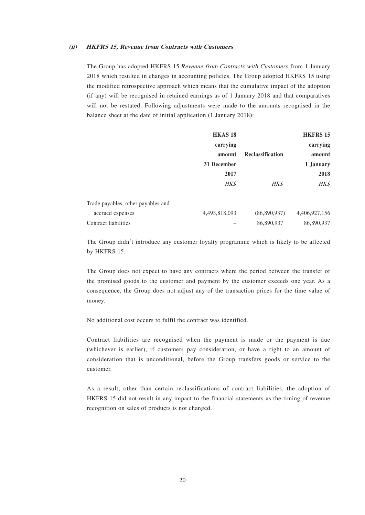#### **(ii) HKFRS 15, Revenue from Contracts with Customers**

The Group has adopted HKFRS 15 Revenue from Contracts with Customers from 1 January 2018 which resulted in changes in accounting policies. The Group adopted HKFRS 15 using the modified retrospective approach which means that the cumulative impact of the adoption (if any) will be recognised in retained earnings as of 1 January 2018 and that comparatives will not be restated. Following adjustments were made to the amounts recognised in the balance sheet at the date of initial application (1 January 2018):

|                                    | HKAS <sub>18</sub> |                  | <b>HKFRS 15</b> |
|------------------------------------|--------------------|------------------|-----------------|
|                                    | carrying           |                  | carrying        |
|                                    | amount             | Reclassification | amount          |
|                                    | 31 December        |                  | 1 January       |
|                                    | 2017               |                  | 2018            |
|                                    | HK\$               | HK\$             | HK\$            |
| Trade payables, other payables and |                    |                  |                 |
| accrued expenses                   | 4,493,818,093      | (86,890,937)     | 4,406,927,156   |
| Contract liabilities               |                    | 86,890,937       | 86,890,937      |

The Group didn't introduce any customer loyalty programme which is likely to be affected by HKFRS 15.

The Group does not expect to have any contracts where the period between the transfer of the promised goods to the customer and payment by the customer exceeds one year. As a consequence, the Group does not adjust any of the transaction prices for the time value of money.

No additional cost occurs to fulfil the contract was identified.

Contract liabilities are recognised when the payment is made or the payment is due (whichever is earlier), if customers pay consideration, or have a right to an amount of consideration that is unconditional, before the Group transfers goods or service to the customer.

As a result, other than certain reclassifications of contract liabilities, the adoption of HKFRS 15 did not result in any impact to the financial statements as the timing of revenue recognition on sales of products is not changed.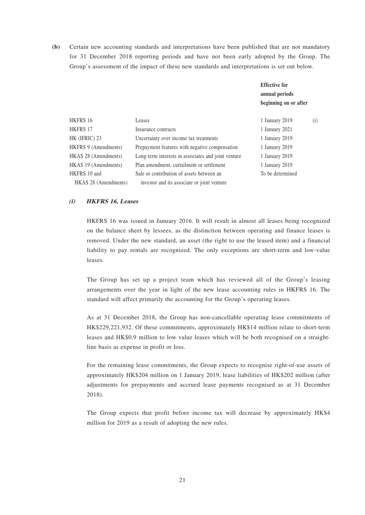**(b)** Certain new accounting standards and interpretations have been published that are not mandatory for 31 December 2018 reporting periods and have not been early adopted by the Group. The Group's assessment of the impact of these new standards and interpretations is set out below.

|                      |                                                     | <b>Effective for</b><br>annual periods |     |
|----------------------|-----------------------------------------------------|----------------------------------------|-----|
|                      |                                                     | beginning on or after                  |     |
| HKFRS 16             | Leases                                              | 1 January 2019                         | (i) |
| <b>HKFRS 17</b>      | Insurance contracts                                 | 1 January 2021                         |     |
| HK (IFRIC) 23        | Uncertainty over income tax treatments              | 1 January 2019                         |     |
| HKFRS 9 (Amendments) | Prepayment features with negative compensation      | 1 January 2019                         |     |
| HKAS 28 (Amendments) | Long-term interests in associates and joint venture | 1 January 2019                         |     |
| HKAS 19 (Amendments) | Plan amendment, curtailment or settlement           | 1 January 2019                         |     |
| HKFRS 10 and         | Sale or contribution of assets between an           | To be determined                       |     |
| HKAS 28 (Amendments) | investor and its associate or joint venture         |                                        |     |

#### **(i) HKFRS 16, Leases**

HKFRS 16 was issued in January 2016. It will result in almost all leases being recognized on the balance sheet by lessees, as the distinction between operating and finance leases is removed. Under the new standard, an asset (the right to use the leased item) and a financial liability to pay rentals are recognized. The only exceptions are short-term and low-value leases.

The Group has set up a project team which has reviewed all of the Group's leasing arrangements over the year in light of the new lease accounting rules in HKFRS 16. The standard will affect primarily the accounting for the Group's operating leases.

As at 31 December 2018, the Group has non-cancellable operating lease commitments of HK\$229,221,932. Of these commitments, approximately HK\$14 million relate to short-term leases and HK\$0.9 million to low value leases which will be both recognised on a straightline basis as expense in profit or loss.

For the remaining lease commitments, the Group expects to recognise right-of-use assets of approximately HK\$204 million on 1 January 2019, lease liabilities of HK\$202 million (after adjustments for prepayments and accrued lease payments recognised as at 31 December 2018).

The Group expects that profit before income tax will decrease by approximately HK\$4 million for 2019 as a result of adopting the new rules.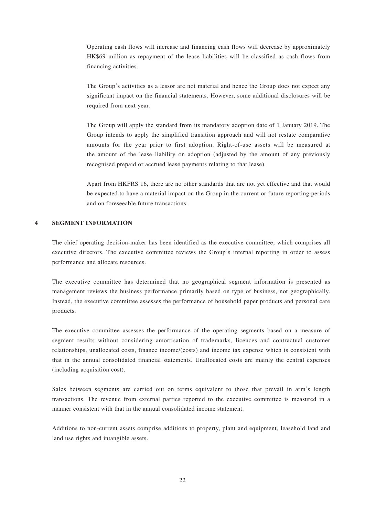Operating cash flows will increase and financing cash flows will decrease by approximately HK\$69 million as repayment of the lease liabilities will be classified as cash flows from financing activities.

The Group's activities as a lessor are not material and hence the Group does not expect any significant impact on the financial statements. However, some additional disclosures will be required from next year.

The Group will apply the standard from its mandatory adoption date of 1 January 2019. The Group intends to apply the simplified transition approach and will not restate comparative amounts for the year prior to first adoption. Right-of-use assets will be measured at the amount of the lease liability on adoption (adjusted by the amount of any previously recognised prepaid or accrued lease payments relating to that lease).

Apart from HKFRS 16, there are no other standards that are not yet effective and that would be expected to have a material impact on the Group in the current or future reporting periods and on foreseeable future transactions.

#### **4 SEGMENT INFORMATION**

The chief operating decision-maker has been identified as the executive committee, which comprises all executive directors. The executive committee reviews the Group's internal reporting in order to assess performance and allocate resources.

The executive committee has determined that no geographical segment information is presented as management reviews the business performance primarily based on type of business, not geographically. Instead, the executive committee assesses the performance of household paper products and personal care products.

The executive committee assesses the performance of the operating segments based on a measure of segment results without considering amortisation of trademarks, licences and contractual customer relationships, unallocated costs, finance income/(costs) and income tax expense which is consistent with that in the annual consolidated financial statements. Unallocated costs are mainly the central expenses (including acquisition cost).

Sales between segments are carried out on terms equivalent to those that prevail in arm's length transactions. The revenue from external parties reported to the executive committee is measured in a manner consistent with that in the annual consolidated income statement.

Additions to non-current assets comprise additions to property, plant and equipment, leasehold land and land use rights and intangible assets.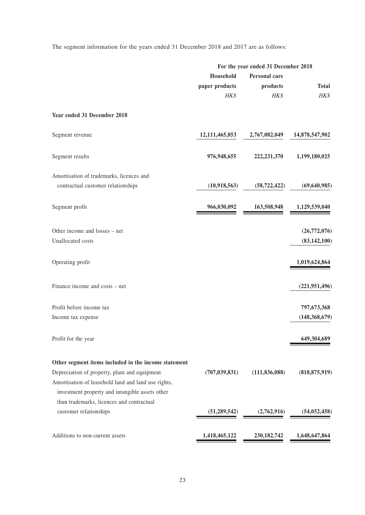The segment information for the years ended 31 December 2018 and 2017 are as follows:

|                                                      | For the year ended 31 December 2018 |                 |                 |
|------------------------------------------------------|-------------------------------------|-----------------|-----------------|
|                                                      | Household<br>Personal care          |                 |                 |
|                                                      | paper products                      | products        | <b>Total</b>    |
|                                                      | HK\$                                | HK\$            | HK\$            |
| Year ended 31 December 2018                          |                                     |                 |                 |
| Segment revenue                                      | 12,111,465,853                      | 2,767,082,049   | 14,878,547,902  |
| Segment results                                      | 976,948,655                         | 222, 231, 370   | 1,199,180,025   |
| Amortisation of trademarks, licences and             |                                     |                 |                 |
| contractual customer relationships                   | (10,918,563)                        | (58, 722, 422)  | (69, 640, 985)  |
| Segment profit                                       | 966,030,092                         | 163,508,948     | 1,129,539,040   |
| Other income and losses – net                        |                                     |                 | (26,772,076)    |
| Unallocated costs                                    |                                     |                 | (83, 142, 100)  |
| Operating profit                                     |                                     |                 | 1,019,624,864   |
| Finance income and costs – net                       |                                     |                 | (221, 951, 496) |
| Profit before income tax                             |                                     |                 | 797,673,368     |
| Income tax expense                                   |                                     |                 | (148, 368, 679) |
| Profit for the year                                  |                                     |                 | 649,304,689     |
| Other segment items included in the income statement |                                     |                 |                 |
| Depreciation of property, plant and equipment        | (707, 039, 831)                     | (111, 836, 088) | (818, 875, 919) |
| Amortisation of leasehold land and land use rights,  |                                     |                 |                 |
| investment property and intangible assets other      |                                     |                 |                 |
| than trademarks, licences and contractual            |                                     |                 |                 |
| customer relationships                               | (51, 289, 542)                      | (2,762,916)     | (54, 052, 458)  |
| Additions to non-current assets                      | 1,418,465,122                       | 230, 182, 742   | 1,648,647,864   |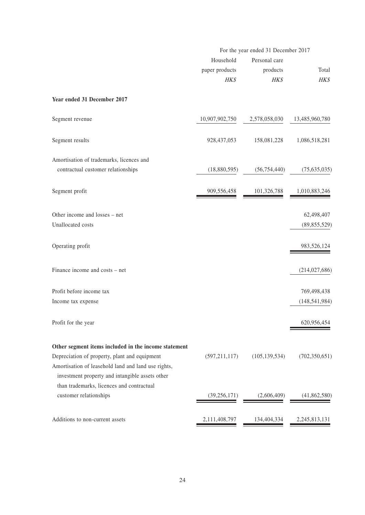|                                                                                                                                                         | For the year ended 31 December 2017 |                                   |                 |
|---------------------------------------------------------------------------------------------------------------------------------------------------------|-------------------------------------|-----------------------------------|-----------------|
|                                                                                                                                                         | Household<br>paper products         | Personal care<br>products<br>HK\$ | Total<br>HK\$   |
| Year ended 31 December 2017                                                                                                                             | HK\$                                |                                   |                 |
| Segment revenue                                                                                                                                         | 10,907,902,750                      | 2,578,058,030                     | 13,485,960,780  |
| Segment results                                                                                                                                         | 928, 437, 053                       | 158,081,228                       | 1,086,518,281   |
| Amortisation of trademarks, licences and                                                                                                                |                                     |                                   |                 |
| contractual customer relationships                                                                                                                      | (18,880,595)                        | (56, 754, 440)                    | (75,635,035)    |
| Segment profit                                                                                                                                          | 909,556,458                         | 101,326,788                       | 1,010,883,246   |
| Other income and losses – net                                                                                                                           |                                     |                                   | 62,498,407      |
| Unallocated costs                                                                                                                                       |                                     |                                   | (89, 855, 529)  |
| Operating profit                                                                                                                                        |                                     |                                   | 983,526,124     |
| Finance income and costs - net                                                                                                                          |                                     |                                   | (214, 027, 686) |
| Profit before income tax                                                                                                                                |                                     |                                   | 769,498,438     |
| Income tax expense                                                                                                                                      |                                     |                                   | (148, 541, 984) |
| Profit for the year                                                                                                                                     |                                     |                                   | 620,956,454     |
| Other segment items included in the income statement                                                                                                    |                                     |                                   |                 |
| Depreciation of property, plant and equipment<br>Amortisation of leasehold land and land use rights,<br>investment property and intangible assets other | (597, 211, 117)                     | (105, 139, 534)                   | (702, 350, 651) |
| than trademarks, licences and contractual<br>customer relationships                                                                                     | (39, 256, 171)                      | (2,606,409)                       | (41, 862, 580)  |
| Additions to non-current assets                                                                                                                         | 2,111,408,797                       | 134,404,334                       | 2,245,813,131   |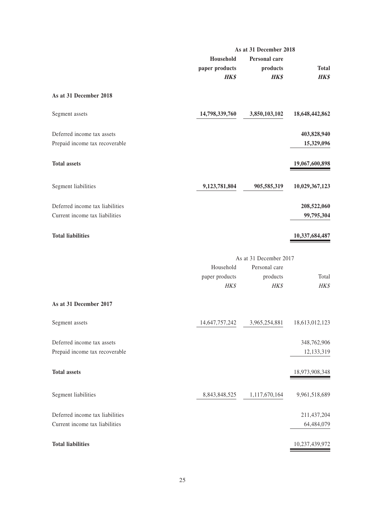|                                 | As at 31 December 2018 |                        |                |
|---------------------------------|------------------------|------------------------|----------------|
|                                 | Household              | Personal care          |                |
|                                 | paper products         | products               | <b>Total</b>   |
|                                 | <b>HK\$</b>            | <b>HK\$</b>            | <b>HK\$</b>    |
| As at 31 December 2018          |                        |                        |                |
| Segment assets                  | 14,798,339,760         | 3,850,103,102          | 18,648,442,862 |
| Deferred income tax assets      |                        |                        | 403,828,940    |
| Prepaid income tax recoverable  |                        |                        | 15,329,096     |
| <b>Total assets</b>             |                        |                        | 19,067,600,898 |
|                                 |                        |                        |                |
| Segment liabilities             | 9,123,781,804          | 905,585,319            | 10,029,367,123 |
| Deferred income tax liabilities |                        |                        | 208,522,060    |
| Current income tax liabilities  |                        |                        | 99,795,304     |
| <b>Total liabilities</b>        |                        |                        | 10,337,684,487 |
|                                 |                        |                        |                |
|                                 |                        | As at 31 December 2017 |                |
|                                 | Household              | Personal care          |                |
|                                 | paper products<br>HK\$ | products<br>HK\$       | Total<br>HK\$  |
|                                 |                        |                        |                |
| As at 31 December 2017          |                        |                        |                |
| Segment assets                  | 14,647,757,242         | 3,965,254,881          | 18,613,012,123 |
| Deferred income tax assets      |                        |                        | 348,762,906    |
| Prepaid income tax recoverable  |                        |                        | 12,133,319     |
|                                 |                        |                        |                |
| <b>Total assets</b>             |                        |                        | 18,973,908,348 |
| Segment liabilities             | 8,843,848,525          | 1,117,670,164          | 9,961,518,689  |
| Deferred income tax liabilities |                        |                        | 211,437,204    |
| Current income tax liabilities  |                        |                        | 64,484,079     |
|                                 |                        |                        |                |
| <b>Total liabilities</b>        |                        |                        | 10,237,439,972 |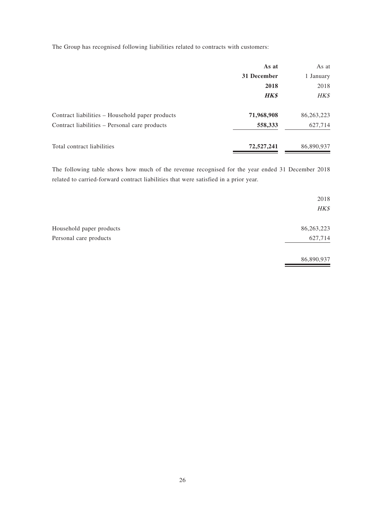The Group has recognised following liabilities related to contracts with customers:

|                                                 | As at       | As at        |
|-------------------------------------------------|-------------|--------------|
|                                                 | 31 December | 1 January    |
|                                                 | 2018        | 2018         |
|                                                 | <b>HK\$</b> | HK\$         |
| Contract liabilities – Household paper products | 71,968,908  | 86, 263, 223 |
| Contract liabilities – Personal care products   | 558,333     | 627,714      |
| Total contract liabilities                      | 72,527,241  | 86,890,937   |

The following table shows how much of the revenue recognised for the year ended 31 December 2018 related to carried-forward contract liabilities that were satisfied in a prior year.

|                          | 2018<br>HK\$ |
|--------------------------|--------------|
| Household paper products | 86,263,223   |
| Personal care products   | 627,714      |
|                          | 86,890,937   |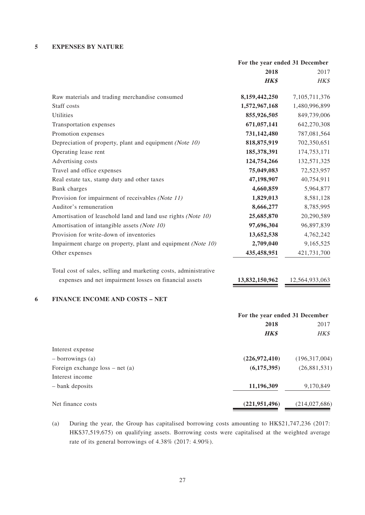#### **5 EXPENSES BY NATURE**

|                                                                  |                | For the year ended 31 December |  |
|------------------------------------------------------------------|----------------|--------------------------------|--|
|                                                                  | 2018           | 2017                           |  |
|                                                                  | <b>HK\$</b>    | HK\$                           |  |
| Raw materials and trading merchandise consumed                   | 8,159,442,250  | 7,105,711,376                  |  |
| Staff costs                                                      | 1,572,967,168  | 1,480,996,899                  |  |
| Utilities                                                        | 855,926,505    | 849,739,006                    |  |
| Transportation expenses                                          | 671,057,141    | 642,270,308                    |  |
| Promotion expenses                                               | 731,142,480    | 787,081,564                    |  |
| Depreciation of property, plant and equipment (Note 10)          | 818,875,919    | 702,350,651                    |  |
| Operating lease rent                                             | 185,378,391    | 174,753,171                    |  |
| Advertising costs                                                | 124,754,266    | 132,571,325                    |  |
| Travel and office expenses                                       | 75,049,083     | 72,523,957                     |  |
| Real estate tax, stamp duty and other taxes                      | 47,198,907     | 40,754,911                     |  |
| <b>Bank</b> charges                                              | 4,660,859      | 5,964,877                      |  |
| Provision for impairment of receivables (Note 11)                | 1,829,013      | 8,581,128                      |  |
| Auditor's remuneration                                           | 8,666,277      | 8,785,995                      |  |
| Amortisation of leasehold land and land use rights (Note 10)     | 25,685,870     | 20,290,589                     |  |
| Amortisation of intangible assets (Note 10)                      | 97,696,304     | 96,897,839                     |  |
| Provision for write-down of inventories                          | 13,652,538     | 4,762,242                      |  |
| Impairment charge on property, plant and equipment (Note 10)     | 2,709,040      | 9,165,525                      |  |
| Other expenses                                                   | 435,458,951    | 421,731,700                    |  |
| Total cost of sales, selling and marketing costs, administrative |                |                                |  |
| expenses and net impairment losses on financial assets           | 13,832,150,962 | 12,564,933,063                 |  |
| <b>FINANCE INCOME AND COSTS - NET</b>                            |                |                                |  |
|                                                                  |                | For the year ended 31 December |  |
|                                                                  | 2018           | 2017                           |  |
|                                                                  | <b>HK\$</b>    | HK\$                           |  |

| Interest expense                 |                 |                 |
|----------------------------------|-----------------|-----------------|
| $-$ borrowings (a)               | (226, 972, 410) | (196,317,004)   |
| Foreign exchange $loss - net(a)$ | (6,175,395)     | (26,881,531)    |
| Interest income                  |                 |                 |
| – bank deposits                  | 11,196,309      | 9,170,849       |
| Net finance costs                | (221, 951, 496) | (214, 027, 686) |

<sup>(</sup>a) During the year, the Group has capitalised borrowing costs amounting to HK\$21,747,236 (2017: HK\$37,519,675) on qualifying assets. Borrowing costs were capitalised at the weighted average rate of its general borrowings of 4.38% (2017: 4.90%).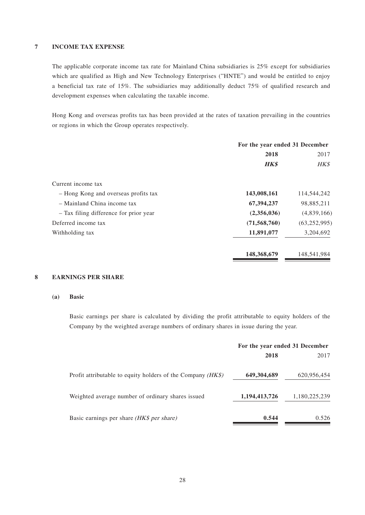#### **7 INCOME TAX EXPENSE**

The applicable corporate income tax rate for Mainland China subsidiaries is 25% except for subsidiaries which are qualified as High and New Technology Enterprises ("HNTE") and would be entitled to enjoy a beneficial tax rate of 15%. The subsidiaries may additionally deduct 75% of qualified research and development expenses when calculating the taxable income.

Hong Kong and overseas profits tax has been provided at the rates of taxation prevailing in the countries or regions in which the Group operates respectively.

| For the year ended 31 December |                |
|--------------------------------|----------------|
| 2018                           |                |
| <b>HK\$</b>                    | HK\$           |
|                                |                |
| 143,008,161                    | 114,544,242    |
| 67,394,237                     | 98,885,211     |
| (2,356,036)                    | (4,839,166)    |
| (71, 568, 760)                 | (63, 252, 995) |
| 11,891,077                     | 3,204,692      |
| 148,368,679                    | 148,541,984    |
|                                |                |

#### **8 EARNINGS PER SHARE**

#### **(a) Basic**

Basic earnings per share is calculated by dividing the profit attributable to equity holders of the Company by the weighted average numbers of ordinary shares in issue during the year.

|                                                               | For the year ended 31 December |               |
|---------------------------------------------------------------|--------------------------------|---------------|
|                                                               | 2018                           | 2017          |
| Profit attributable to equity holders of the Company $(HK\$ ) | 649,304,689                    | 620,956,454   |
| Weighted average number of ordinary shares issued             | 1,194,413,726                  | 1,180,225,239 |
| Basic earnings per share <i>(HK\$ per share)</i>              | 0.544                          | 0.526         |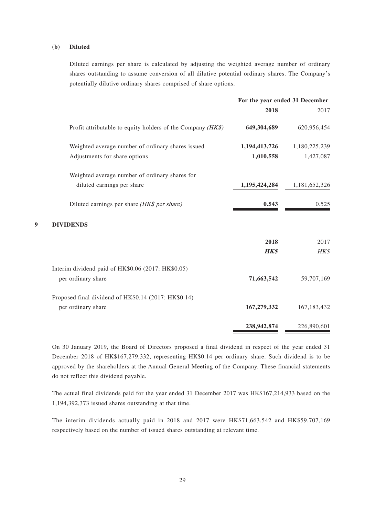#### **(b) Diluted**

Diluted earnings per share is calculated by adjusting the weighted average number of ordinary shares outstanding to assume conversion of all dilutive potential ordinary shares. The Company's potentially dilutive ordinary shares comprised of share options.

|                                                             | For the year ended 31 December |               |
|-------------------------------------------------------------|--------------------------------|---------------|
|                                                             | 2018                           | 2017          |
| Profit attributable to equity holders of the Company (HK\$) | 649,304,689                    | 620,956,454   |
| Weighted average number of ordinary shares issued           | 1,194,413,726                  | 1,180,225,239 |
| Adjustments for share options                               | 1,010,558                      | 1,427,087     |
| Weighted average number of ordinary shares for              |                                |               |
| diluted earnings per share                                  | 1,195,424,284                  | 1,181,652,326 |
| Diluted earnings per share (HK\$ per share)                 | 0.543                          | 0.525         |
| <b>DIVIDENDS</b>                                            |                                |               |
|                                                             | 2018                           | 2017          |
|                                                             | <b>HK\$</b>                    | HK\$          |
| Interim dividend paid of HK\$0.06 (2017: HK\$0.05)          |                                |               |
| per ordinary share                                          | 71,663,542                     | 59,707,169    |
| Proposed final dividend of HK\$0.14 (2017: HK\$0.14)        |                                |               |
| per ordinary share                                          | 167,279,332                    | 167, 183, 432 |
|                                                             |                                | 226,890,601   |
|                                                             |                                | 238,942,874   |

On 30 January 2019, the Board of Directors proposed a final dividend in respect of the year ended 31 December 2018 of HK\$167,279,332, representing HK\$0.14 per ordinary share. Such dividend is to be approved by the shareholders at the Annual General Meeting of the Company. These financial statements do not reflect this dividend payable.

The actual final dividends paid for the year ended 31 December 2017 was HK\$167,214,933 based on the 1,194,392,373 issued shares outstanding at that time.

The interim dividends actually paid in 2018 and 2017 were HK\$71,663,542 and HK\$59,707,169 respectively based on the number of issued shares outstanding at relevant time.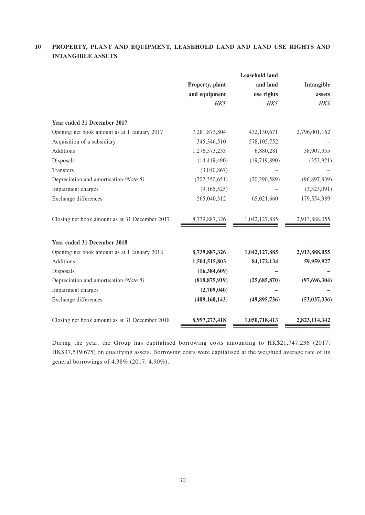# **10 PROPERTY, PLANT AND EQUIPMENT, LEASEHOLD LAND AND LAND USE RIGHTS AND INTANGIBLE ASSETS**

|                                                |                 | <b>Leasehold land</b> |                |
|------------------------------------------------|-----------------|-----------------------|----------------|
|                                                | Property, plant | and land              | Intangible     |
|                                                | and equipment   | use rights            | assets         |
|                                                | HK\$            | HK\$                  | HK\$           |
| Year ended 31 December 2017                    |                 |                       |                |
| Opening net book amount as at 1 January 2017   | 7,281,873,804   | 432,130,671           | 2,796,001,162  |
| Acquisition of a subsidiary                    | 345, 346, 510   | 578,105,752           |                |
| Additions                                      | 1,276,573,233   | 6,880,281             | 38,907,355     |
| Disposals                                      | (14, 419, 490)  | (19,719,890)          | (353, 921)     |
| Transfers                                      | (3,010,867)     |                       |                |
| Depreciation and amortisation (Note 5)         | (702, 350, 651) | (20, 290, 589)        | (96, 897, 839) |
| Impairment charges                             | (9,165,525)     |                       | (3,323,091)    |
| Exchange differences                           | 565,040,312     | 65,021,660            | 179,554,389    |
| Closing net book amount as at 31 December 2017 | 8,739,887,326   | 1,042,127,885         | 2,913,888,055  |
| Year ended 31 December 2018                    |                 |                       |                |
| Opening net book amount as at 1 January 2018   | 8,739,887,326   | 1,042,127,885         | 2,913,888,055  |
| Additions                                      | 1,504,515,803   | 84,172,134            | 59,959,927     |
| Disposals                                      | (16, 384, 609)  |                       |                |
| Depreciation and amortisation (Note 5)         | (818, 875, 919) | (25,685,870)          | (97, 696, 304) |
| Impairment charges                             | (2,709,040)     |                       |                |
| Exchange differences                           | (409, 160, 143) | (49, 895, 736)        | (53,037,336)   |
| Closing net book amount as at 31 December 2018 | 8,997,273,418   | 1,050,718,413         | 2,823,114,342  |

During the year, the Group has capitalised borrowing costs amounting to HK\$21,747,236 (2017: HK\$37,519,675) on qualifying assets. Borrowing costs were capitalised at the weighted average rate of its general borrowings of 4.38% (2017: 4.90%).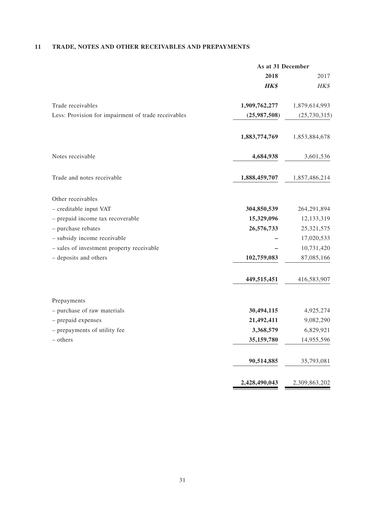# **11 TRADE, NOTES AND OTHER RECEIVABLES AND PREPAYMENTS**

|                                                     | As at 31 December |                |
|-----------------------------------------------------|-------------------|----------------|
|                                                     | 2018              | 2017           |
|                                                     | <b>HK\$</b>       | HK\$           |
| Trade receivables                                   | 1,909,762,277     | 1,879,614,993  |
| Less: Provision for impairment of trade receivables | (25,987,508)      | (25, 730, 315) |
|                                                     | 1,883,774,769     | 1,853,884,678  |
| Notes receivable                                    | 4,684,938         | 3,601,536      |
| Trade and notes receivable                          | 1,888,459,707     | 1,857,486,214  |
| Other receivables                                   |                   |                |
| - creditable input VAT                              | 304,850,539       | 264,291,894    |
| - prepaid income tax recoverable                    | 15,329,096        | 12,133,319     |
| - purchase rebates                                  | 26,576,733        | 25,321,575     |
| - subsidy income receivable                         |                   | 17,020,533     |
| - sales of investment property receivable           |                   | 10,731,420     |
| - deposits and others                               | 102,759,083       | 87,085,166     |
|                                                     | 449,515,451       | 416,583,907    |
| Prepayments                                         |                   |                |
| - purchase of raw materials                         | 30,494,115        | 4,925,274      |
| - prepaid expenses                                  | 21,492,411        | 9,082,290      |
| - prepayments of utility fee                        | 3,368,579         | 6,829,921      |
| - others                                            | 35,159,780        | 14,955,596     |
|                                                     | 90,514,885        | 35,793,081     |
|                                                     | 2,428,490,043     | 2,309,863,202  |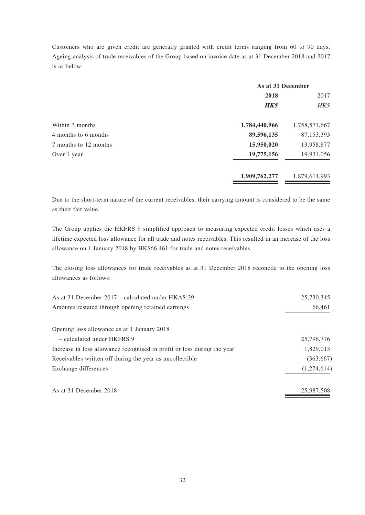Customers who are given credit are generally granted with credit terms ranging from 60 to 90 days. Ageing analysis of trade receivables of the Group based on invoice date as at 31 December 2018 and 2017 is as below:

|                       | As at 31 December |               |
|-----------------------|-------------------|---------------|
|                       | 2018              |               |
|                       | <b>HK\$</b>       | HK\$          |
| Within 3 months       | 1,784,440,966     | 1,758,571,667 |
| 4 months to 6 months  | 89,596,135        | 87,153,393    |
| 7 months to 12 months | 15,950,020        | 13,958,877    |
| Over 1 year           | 19,775,156        | 19,931,056    |
|                       | 1,909,762,277     | 1,879,614,993 |

Due to the short-term nature of the current receivables, their carrying amount is considered to be the same as their fair value.

The Group applies the HKFRS 9 simplified approach to measuring expected credit losses which uses a lifetime expected loss allowance for all trade and notes receivables. This resulted in an increase of the loss allowance on 1 January 2018 by HK\$66,461 for trade and notes receivables.

The closing loss allowances for trade receivables as at 31 December 2018 reconcile to the opening loss allowances as follows:

| As at 31 December 2017 – calculated under HKAS 39                       | 25,730,315  |
|-------------------------------------------------------------------------|-------------|
| Amounts restated through opening retained earnings                      | 66,461      |
|                                                                         |             |
| Opening loss allowance as at 1 January 2018                             |             |
| - calculated under HKFRS 9                                              | 25,796,776  |
| Increase in loss allowance recognised in profit or loss during the year | 1,829,013   |
| Receivables written off during the year as uncollectible                | (363, 667)  |
| Exchange differences                                                    | (1,274,614) |
| As at 31 December 2018                                                  | 25,987,508  |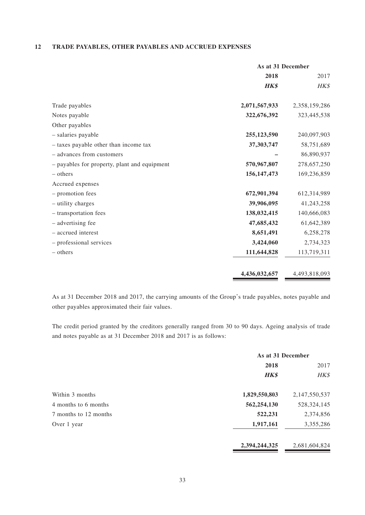#### **12 TRADE PAYABLES, OTHER PAYABLES AND ACCRUED EXPENSES**

|                                              | As at 31 December |               |
|----------------------------------------------|-------------------|---------------|
|                                              | 2018              | 2017          |
|                                              | <b>HK\$</b>       | HK\$          |
| Trade payables                               | 2,071,567,933     | 2,358,159,286 |
| Notes payable                                | 322,676,392       | 323,445,538   |
| Other payables                               |                   |               |
| - salaries payable                           | 255,123,590       | 240,097,903   |
| - taxes payable other than income tax        | 37,303,747        | 58,751,689    |
| - advances from customers                    |                   | 86,890,937    |
| - payables for property, plant and equipment | 570,967,807       | 278,657,250   |
| $-$ others                                   | 156, 147, 473     | 169,236,859   |
| Accrued expenses                             |                   |               |
| - promotion fees                             | 672,901,394       | 612,314,989   |
| - utility charges                            | 39,906,095        | 41,243,258    |
| - transportation fees                        | 138,032,415       | 140,666,083   |
| - advertising fee                            | 47,685,432        | 61,642,389    |
| - accrued interest                           | 8,651,491         | 6,258,278     |
| - professional services                      | 3,424,060         | 2,734,323     |
| – others                                     | 111,644,828       | 113,719,311   |
|                                              | 4,436,032,657     | 4,493,818,093 |

As at 31 December 2018 and 2017, the carrying amounts of the Group's trade payables, notes payable and other payables approximated their fair values.

The credit period granted by the creditors generally ranged from 30 to 90 days. Ageing analysis of trade and notes payable as at 31 December 2018 and 2017 is as follows:

|                       | As at 31 December |               |
|-----------------------|-------------------|---------------|
|                       | 2018              |               |
|                       | <b>HK\$</b>       | HK\$          |
| Within 3 months       | 1,829,550,803     | 2,147,550,537 |
| 4 months to 6 months  | 562,254,130       | 528, 324, 145 |
| 7 months to 12 months | 522,231           | 2,374,856     |
| Over 1 year           | 1,917,161         | 3,355,286     |
|                       | 2,394,244,325     | 2,681,604,824 |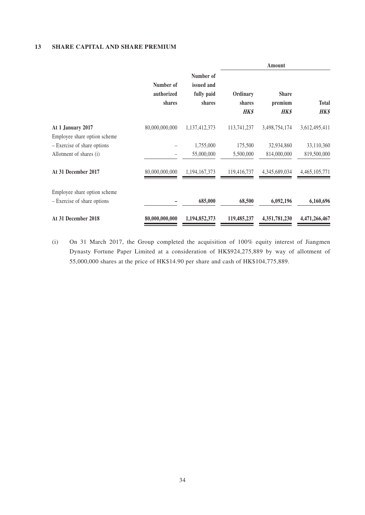#### **13 SHARE CAPITAL AND SHARE PREMIUM**

|                                                             |                                   |                                                 |                                   | Amount                                 |                             |
|-------------------------------------------------------------|-----------------------------------|-------------------------------------------------|-----------------------------------|----------------------------------------|-----------------------------|
|                                                             | Number of<br>authorized<br>shares | Number of<br>issued and<br>fully paid<br>shares | Ordinary<br>shares<br><b>HK\$</b> | <b>Share</b><br>premium<br><b>HK\$</b> | <b>Total</b><br><b>HK\$</b> |
| At 1 January 2017<br>Employee share option scheme           | 80,000,000,000                    | 1,137,412,373                                   | 113,741,237                       | 3,498,754,174                          | 3,612,495,411               |
| - Exercise of share options                                 |                                   | 1,755,000                                       | 175,500                           | 32,934,860                             | 33,110,360                  |
| Allotment of shares (i)                                     |                                   | 55,000,000                                      | 5,500,000                         | 814,000,000                            | 819,500,000                 |
| At 31 December 2017                                         | 80,000,000,000                    | 1,194,167,373                                   | 119,416,737                       | 4,345,689,034                          | 4,465,105,771               |
| Employee share option scheme<br>- Exercise of share options |                                   | 685,000                                         | 68,500                            | 6,092,196                              | 6,160,696                   |
| At 31 December 2018                                         | 80,000,000,000                    | 1,194,852,373                                   | 119,485,237                       | 4,351,781,230                          | 4,471,266,467               |

(i) On 31 March 2017, the Group completed the acquisition of 100% equity interest of Jiangmen Dynasty Fortune Paper Limited at a consideration of HK\$924,275,889 by way of allotment of 55,000,000 shares at the price of HK\$14.90 per share and cash of HK\$104,775,889.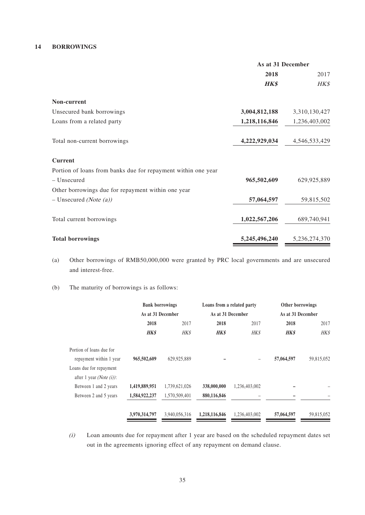#### **14 BORROWINGS**

|                                                               | As at 31 December |               |  |
|---------------------------------------------------------------|-------------------|---------------|--|
|                                                               | 2018              | 2017          |  |
|                                                               | <b>HK\$</b>       | HK\$          |  |
| Non-current                                                   |                   |               |  |
| Unsecured bank borrowings                                     | 3,004,812,188     | 3,310,130,427 |  |
| Loans from a related party                                    | 1,218,116,846     | 1,236,403,002 |  |
| Total non-current borrowings                                  | 4,222,929,034     | 4,546,533,429 |  |
| <b>Current</b>                                                |                   |               |  |
| Portion of loans from banks due for repayment within one year |                   |               |  |
| - Unsecured                                                   | 965,502,609       | 629,925,889   |  |
| Other borrowings due for repayment within one year            |                   |               |  |
| $-$ Unsecured (Note (a))                                      | 57,064,597        | 59,815,502    |  |
| Total current borrowings                                      | 1,022,567,206     | 689,740,941   |  |
| <b>Total borrowings</b>                                       | 5,245,496,240     | 5,236,274,370 |  |

- (a) Other borrowings of RMB50,000,000 were granted by PRC local governments and are unsecured and interest-free.
- (b) The maturity of borrowings is as follows:

|                                  |               | <b>Bank borrowings</b> |               | Loans from a related party | Other borrowings  |            |
|----------------------------------|---------------|------------------------|---------------|----------------------------|-------------------|------------|
|                                  |               | As at 31 December      |               | As at 31 December          | As at 31 December |            |
|                                  | 2018          | 2017                   | 2018          | 2017                       | 2018              | 2017       |
|                                  | <b>HK\$</b>   | <b>HKS</b>             | <b>HK\$</b>   | <b>HK\$</b>                | <b>HK\$</b>       | HK\$       |
| Portion of loans due for         |               |                        |               |                            |                   |            |
| repayment within 1 year          | 965,502,609   | 629,925,889            |               |                            | 57,064,597        | 59,815,052 |
| Loans due for repayment          |               |                        |               |                            |                   |            |
| after 1 year <i>(Note (i))</i> : |               |                        |               |                            |                   |            |
| Between 1 and 2 years            | 1,419,889,951 | 1,739,621,026          | 338,000,000   | 1,236,403,002              |                   |            |
| Between 2 and 5 years            | 1,584,922,237 | 1,570,509,401          | 880,116,846   |                            |                   |            |
|                                  | 3,970,314,797 | 3,940,056,316          | 1,218,116,846 | 1,236,403,002              | 57,064,597        | 59,815,052 |
|                                  |               |                        |               |                            |                   |            |

(i) Loan amounts due for repayment after 1 year are based on the scheduled repayment dates set out in the agreements ignoring effect of any repayment on demand clause.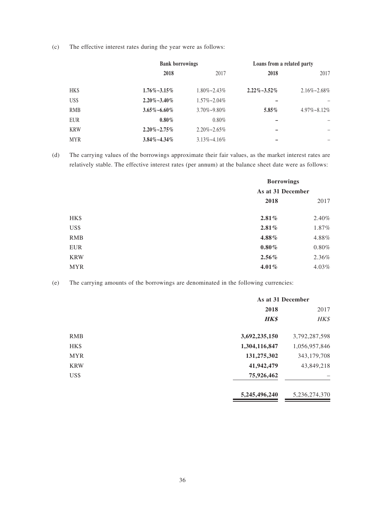(c) The effective interest rates during the year were as follows:

|            | <b>Bank borrowings</b> |                      | Loans from a related party |                      |
|------------|------------------------|----------------------|----------------------------|----------------------|
|            | 2018                   | 2017                 | 2018                       | 2017                 |
| HK\$       | $1.76\% \sim 3.15\%$   | $1.80\% \sim 2.43\%$ | $2.22\% - 3.52\%$          | $2.16\% \sim 2.68\%$ |
| US\$       | $2.20\% - 3.40\%$      | $1.57\% \sim 2.04\%$ |                            |                      |
| <b>RMB</b> | $3.65\% \sim 6.60\%$   | 3.70%~9.80%          | $5.85\%$                   | $4.97\% \sim 8.12\%$ |
| <b>EUR</b> | $0.80\%$               | $0.80\%$             | —                          |                      |
| <b>KRW</b> | $2.20\% - 2.75\%$      | $2.20\% \sim 2.65\%$ |                            |                      |
| <b>MYR</b> | $3.84\% - 4.34\%$      | $3.13\% - 4.16\%$    |                            |                      |

(d) The carrying values of the borrowings approximate their fair values, as the market interest rates are relatively stable. The effective interest rates (per annum) at the balance sheet date were as follows:

|            | <b>Borrowings</b><br>As at 31 December |          |
|------------|----------------------------------------|----------|
|            |                                        |          |
|            | 2018                                   | 2017     |
| HK\$       | 2.81%                                  | 2.40%    |
| US\$       | 2.81%                                  | 1.87%    |
| <b>RMB</b> | 4.88%                                  | 4.88%    |
| <b>EUR</b> | $0.80\%$                               | $0.80\%$ |
| <b>KRW</b> | $2.56\%$                               | 2.36%    |
| <b>MYR</b> | $4.01\%$                               | 4.03%    |

(e) The carrying amounts of the borrowings are denominated in the following currencies:

|            | As at 31 December |               |
|------------|-------------------|---------------|
|            | 2018              | 2017          |
|            | <b>HK\$</b>       | HK\$          |
| <b>RMB</b> | 3,692,235,150     | 3,792,287,598 |
| HK\$       | 1,304,116,847     | 1,056,957,846 |
| <b>MYR</b> | 131,275,302       | 343,179,708   |
| <b>KRW</b> | 41,942,479        | 43,849,218    |
| US\$       | 75,926,462        |               |
|            | 5,245,496,240     | 5,236,274,370 |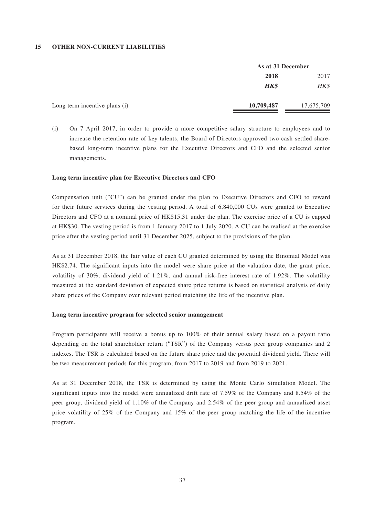#### **15 OTHER NON-CURRENT LIABILITIES**

|                               | As at 31 December |            |
|-------------------------------|-------------------|------------|
|                               | 2018              | 2017       |
|                               | <b>HK\$</b>       | HK\$       |
| Long term incentive plans (i) | 10,709,487        | 17,675,709 |

(i) On 7 April 2017, in order to provide a more competitive salary structure to employees and to increase the retention rate of key talents, the Board of Directors approved two cash settled sharebased long-term incentive plans for the Executive Directors and CFO and the selected senior managements.

#### **Long term incentive plan for Executive Directors and CFO**

Compensation unit ("CU") can be granted under the plan to Executive Directors and CFO to reward for their future services during the vesting period. A total of 6,840,000 CUs were granted to Executive Directors and CFO at a nominal price of HK\$15.31 under the plan. The exercise price of a CU is capped at HK\$30. The vesting period is from 1 January 2017 to 1 July 2020. A CU can be realised at the exercise price after the vesting period until 31 December 2025, subject to the provisions of the plan.

As at 31 December 2018, the fair value of each CU granted determined by using the Binomial Model was HK\$2.74. The significant inputs into the model were share price at the valuation date, the grant price, volatility of 30%, dividend yield of 1.21%, and annual risk-free interest rate of 1.92%. The volatility measured at the standard deviation of expected share price returns is based on statistical analysis of daily share prices of the Company over relevant period matching the life of the incentive plan.

#### **Long term incentive program for selected senior management**

Program participants will receive a bonus up to 100% of their annual salary based on a payout ratio depending on the total shareholder return ("TSR") of the Company versus peer group companies and 2 indexes. The TSR is calculated based on the future share price and the potential dividend yield. There will be two measurement periods for this program, from 2017 to 2019 and from 2019 to 2021.

As at 31 December 2018, the TSR is determined by using the Monte Carlo Simulation Model. The significant inputs into the model were annualized drift rate of 7.59% of the Company and 8.54% of the peer group, dividend yield of 1.10% of the Company and 2.54% of the peer group and annualized asset price volatility of 25% of the Company and 15% of the peer group matching the life of the incentive program.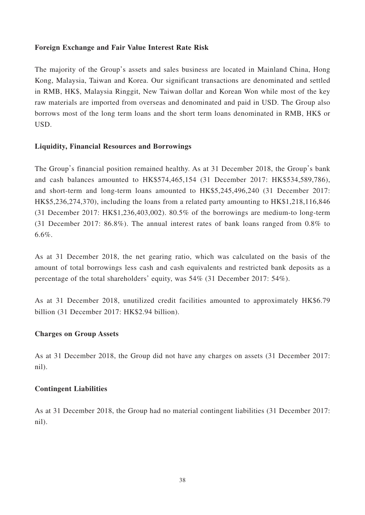## **Foreign Exchange and Fair Value Interest Rate Risk**

The majority of the Group's assets and sales business are located in Mainland China, Hong Kong, Malaysia, Taiwan and Korea. Our significant transactions are denominated and settled in RMB, HK\$, Malaysia Ringgit, New Taiwan dollar and Korean Won while most of the key raw materials are imported from overseas and denominated and paid in USD. The Group also borrows most of the long term loans and the short term loans denominated in RMB, HK\$ or USD.

## **Liquidity, Financial Resources and Borrowings**

The Group's financial position remained healthy. As at 31 December 2018, the Group's bank and cash balances amounted to HK\$574,465,154 (31 December 2017: HK\$534,589,786), and short-term and long-term loans amounted to HK\$5,245,496,240 (31 December 2017: HK\$5,236,274,370), including the loans from a related party amounting to HK\$1,218,116,846 (31 December 2017: HK\$1,236,403,002). 80.5% of the borrowings are medium-to long-term (31 December 2017: 86.8%). The annual interest rates of bank loans ranged from 0.8% to 6.6%.

As at 31 December 2018, the net gearing ratio, which was calculated on the basis of the amount of total borrowings less cash and cash equivalents and restricted bank deposits as a percentage of the total shareholders' equity, was 54% (31 December 2017: 54%).

As at 31 December 2018, unutilized credit facilities amounted to approximately HK\$6.79 billion (31 December 2017: HK\$2.94 billion).

## **Charges on Group Assets**

As at 31 December 2018, the Group did not have any charges on assets (31 December 2017: nil).

## **Contingent Liabilities**

As at 31 December 2018, the Group had no material contingent liabilities (31 December 2017: nil).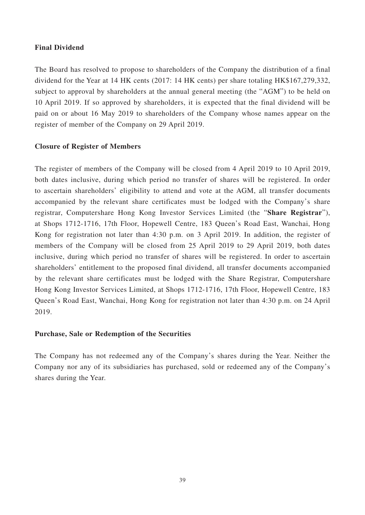## **Final Dividend**

The Board has resolved to propose to shareholders of the Company the distribution of a final dividend for the Year at 14 HK cents (2017: 14 HK cents) per share totaling HK\$167,279,332, subject to approval by shareholders at the annual general meeting (the "AGM") to be held on 10 April 2019. If so approved by shareholders, it is expected that the final dividend will be paid on or about 16 May 2019 to shareholders of the Company whose names appear on the register of member of the Company on 29 April 2019.

## **Closure of Register of Members**

The register of members of the Company will be closed from 4 April 2019 to 10 April 2019, both dates inclusive, during which period no transfer of shares will be registered. In order to ascertain shareholders' eligibility to attend and vote at the AGM, all transfer documents accompanied by the relevant share certificates must be lodged with the Company's share registrar, Computershare Hong Kong Investor Services Limited (the "**Share Registrar**"), at Shops 1712-1716, 17th Floor, Hopewell Centre, 183 Queen's Road East, Wanchai, Hong Kong for registration not later than 4:30 p.m. on 3 April 2019. In addition, the register of members of the Company will be closed from 25 April 2019 to 29 April 2019, both dates inclusive, during which period no transfer of shares will be registered. In order to ascertain shareholders' entitlement to the proposed final dividend, all transfer documents accompanied by the relevant share certificates must be lodged with the Share Registrar, Computershare Hong Kong Investor Services Limited, at Shops 1712-1716, 17th Floor, Hopewell Centre, 183 Queen's Road East, Wanchai, Hong Kong for registration not later than 4:30 p.m. on 24 April 2019.

## **Purchase, Sale or Redemption of the Securities**

The Company has not redeemed any of the Company's shares during the Year. Neither the Company nor any of its subsidiaries has purchased, sold or redeemed any of the Company's shares during the Year.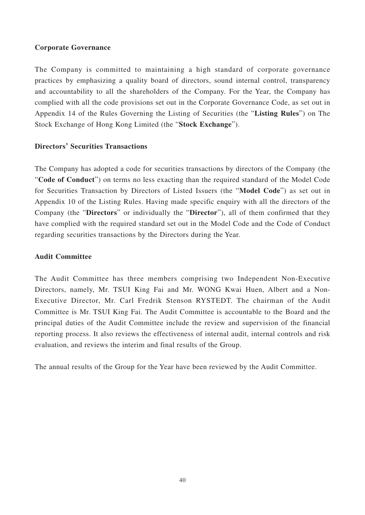## **Corporate Governance**

The Company is committed to maintaining a high standard of corporate governance practices by emphasizing a quality board of directors, sound internal control, transparency and accountability to all the shareholders of the Company. For the Year, the Company has complied with all the code provisions set out in the Corporate Governance Code, as set out in Appendix 14 of the Rules Governing the Listing of Securities (the "**Listing Rules**") on The Stock Exchange of Hong Kong Limited (the "**Stock Exchange**").

## **Directors' Securities Transactions**

The Company has adopted a code for securities transactions by directors of the Company (the "**Code of Conduct**") on terms no less exacting than the required standard of the Model Code for Securities Transaction by Directors of Listed Issuers (the "**Model Code**") as set out in Appendix 10 of the Listing Rules. Having made specific enquiry with all the directors of the Company (the "**Directors**" or individually the "**Director**"), all of them confirmed that they have complied with the required standard set out in the Model Code and the Code of Conduct regarding securities transactions by the Directors during the Year.

## **Audit Committee**

The Audit Committee has three members comprising two Independent Non-Executive Directors, namely, Mr. TSUI King Fai and Mr. WONG Kwai Huen, Albert and a Non-Executive Director, Mr. Carl Fredrik Stenson RYSTEDT. The chairman of the Audit Committee is Mr. TSUI King Fai. The Audit Committee is accountable to the Board and the principal duties of the Audit Committee include the review and supervision of the financial reporting process. It also reviews the effectiveness of internal audit, internal controls and risk evaluation, and reviews the interim and final results of the Group.

The annual results of the Group for the Year have been reviewed by the Audit Committee.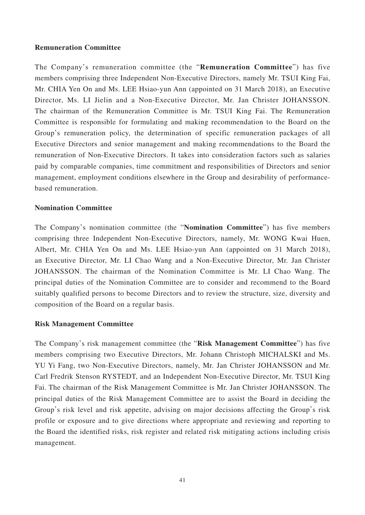## **Remuneration Committee**

The Company's remuneration committee (the "**Remuneration Committee**") has five members comprising three Independent Non-Executive Directors, namely Mr. TSUI King Fai, Mr. CHIA Yen On and Ms. LEE Hsiao-yun Ann (appointed on 31 March 2018), an Executive Director, Ms. LI Jielin and a Non-Executive Director, Mr. Jan Christer JOHANSSON. The chairman of the Remuneration Committee is Mr. TSUI King Fai. The Remuneration Committee is responsible for formulating and making recommendation to the Board on the Group's remuneration policy, the determination of specific remuneration packages of all Executive Directors and senior management and making recommendations to the Board the remuneration of Non-Executive Directors. It takes into consideration factors such as salaries paid by comparable companies, time commitment and responsibilities of Directors and senior management, employment conditions elsewhere in the Group and desirability of performancebased remuneration.

### **Nomination Committee**

The Company's nomination committee (the "**Nomination Committee**") has five members comprising three Independent Non-Executive Directors, namely, Mr. WONG Kwai Huen, Albert, Mr. CHIA Yen On and Ms. LEE Hsiao-yun Ann (appointed on 31 March 2018), an Executive Director, Mr. LI Chao Wang and a Non-Executive Director, Mr. Jan Christer JOHANSSON. The chairman of the Nomination Committee is Mr. LI Chao Wang. The principal duties of the Nomination Committee are to consider and recommend to the Board suitably qualified persons to become Directors and to review the structure, size, diversity and composition of the Board on a regular basis.

## **Risk Management Committee**

The Company's risk management committee (the "**Risk Management Committee**") has five members comprising two Executive Directors, Mr. Johann Christoph MICHALSKI and Ms. YU Yi Fang, two Non-Executive Directors, namely, Mr. Jan Christer JOHANSSON and Mr. Carl Fredrik Stenson RYSTEDT, and an Independent Non-Executive Director, Mr. TSUI King Fai. The chairman of the Risk Management Committee is Mr. Jan Christer JOHANSSON. The principal duties of the Risk Management Committee are to assist the Board in deciding the Group's risk level and risk appetite, advising on major decisions affecting the Group's risk profile or exposure and to give directions where appropriate and reviewing and reporting to the Board the identified risks, risk register and related risk mitigating actions including crisis management.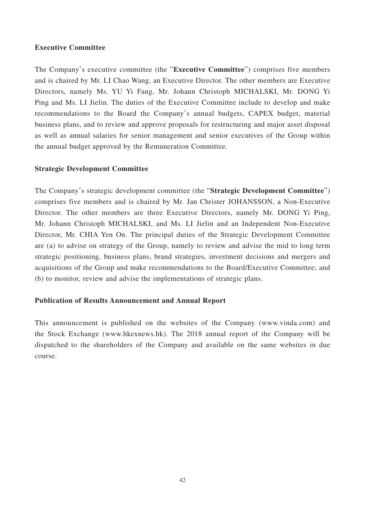## **Executive Committee**

The Company's executive committee (the "**Executive Committee**") comprises five members and is chaired by Mr. LI Chao Wang, an Executive Director. The other members are Executive Directors, namely Ms. YU Yi Fang, Mr. Johann Christoph MICHALSKI, Mr. DONG Yi Ping and Ms. LI Jielin. The duties of the Executive Committee include to develop and make recommendations to the Board the Company's annual budgets, CAPEX budget, material business plans, and to review and approve proposals for restructuring and major asset disposal as well as annual salaries for senior management and senior executives of the Group within the annual budget approved by the Remuneration Committee.

## **Strategic Development Committee**

The Company's strategic development committee (the "**Strategic Development Committee**") comprises five members and is chaired by Mr. Jan Christer JOHANSSON, a Non-Executive Director. The other members are three Executive Directors, namely Mr. DONG Yi Ping, Mr. Johann Christoph MICHALSKI, and Ms. LI Jielin and an Independent Non-Executive Director, Mr. CHIA Yen On. The principal duties of the Strategic Development Committee are (a) to advise on strategy of the Group, namely to review and advise the mid to long term strategic positioning, business plans, brand strategies, investment decisions and mergers and acquisitions of the Group and make recommendations to the Board/Executive Committee; and (b) to monitor, review and advise the implementations of strategic plans.

# **Publication of Results Announcement and Annual Report**

This announcement is published on the websites of the Company (www.vinda.com) and the Stock Exchange (www.hkexnews.hk). The 2018 annual report of the Company will be dispatched to the shareholders of the Company and available on the same websites in due course.